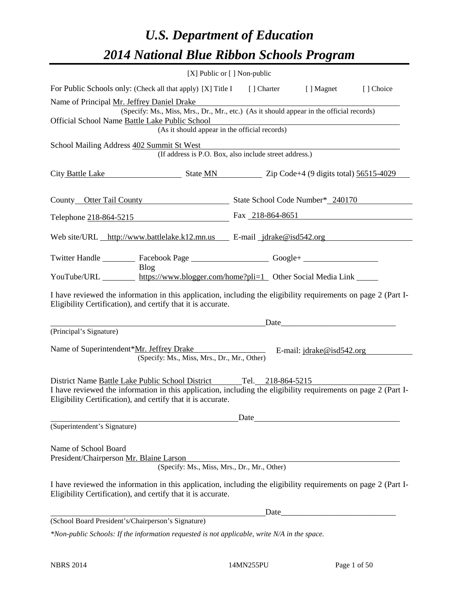# *U.S. Department of Education 2014 National Blue Ribbon Schools Program*

|                                                                                                                                                                                | [X] Public or [] Non-public |       |      |  |  |  |  |  |
|--------------------------------------------------------------------------------------------------------------------------------------------------------------------------------|-----------------------------|-------|------|--|--|--|--|--|
| For Public Schools only: (Check all that apply) [X] Title I [] Charter [] Magnet<br>[ ] Choice                                                                                 |                             |       |      |  |  |  |  |  |
| Name of Principal Mr. Jeffrey Daniel Drake                                                                                                                                     |                             |       |      |  |  |  |  |  |
| (Specify: Ms., Miss, Mrs., Dr., Mr., etc.) (As it should appear in the official records)                                                                                       |                             |       |      |  |  |  |  |  |
| Official School Name Battle Lake Public School<br>(As it should appear in the official records)                                                                                |                             |       |      |  |  |  |  |  |
| School Mailing Address 402 Summit St West                                                                                                                                      |                             |       |      |  |  |  |  |  |
| (If address is P.O. Box, also include street address.)                                                                                                                         |                             |       |      |  |  |  |  |  |
| City Battle Lake State MN 2ip Code+4 (9 digits total) 56515-4029                                                                                                               |                             |       |      |  |  |  |  |  |
| County Otter Tail County State School Code Number* 240170                                                                                                                      |                             |       |      |  |  |  |  |  |
| Telephone 218-864-5215 Fax 218-864-8651                                                                                                                                        |                             |       |      |  |  |  |  |  |
| Web site/URL http://www.battlelake.k12.mn.us E-mail jdrake@isd542.org                                                                                                          |                             |       |      |  |  |  |  |  |
|                                                                                                                                                                                |                             |       |      |  |  |  |  |  |
| Twitter Handle ___________ Facebook Page _______________________Google+ ____________________________<br>Blog                                                                   |                             |       |      |  |  |  |  |  |
| YouTube/URL https://www.blogger.com/home?pli=1 Other Social Media Link                                                                                                         |                             |       |      |  |  |  |  |  |
| I have reviewed the information in this application, including the eligibility requirements on page 2 (Part I-<br>Eligibility Certification), and certify that it is accurate. |                             |       |      |  |  |  |  |  |
|                                                                                                                                                                                |                             |       |      |  |  |  |  |  |
| (Principal's Signature)                                                                                                                                                        |                             |       |      |  |  |  |  |  |
| Name of Superintendent*Mr. Jeffrey Drake<br>E-mail: jdrake@isd542.org<br>(Specify: Ms., Miss, Mrs., Dr., Mr., Other)                                                           |                             |       |      |  |  |  |  |  |
| District Name Battle Lake Public School District Tel. 218-864-5215                                                                                                             |                             |       |      |  |  |  |  |  |
| I have reviewed the information in this application, including the eligibility requirements on page 2 (Part I-<br>Eligibility Certification), and certify that it is accurate. |                             |       |      |  |  |  |  |  |
|                                                                                                                                                                                |                             | Date_ |      |  |  |  |  |  |
| (Superintendent's Signature)                                                                                                                                                   |                             |       |      |  |  |  |  |  |
| Name of School Board<br>President/Chairperson Mr. Blaine Larson                                                                                                                |                             |       |      |  |  |  |  |  |
| (Specify: Ms., Miss, Mrs., Dr., Mr., Other)                                                                                                                                    |                             |       |      |  |  |  |  |  |
| I have reviewed the information in this application, including the eligibility requirements on page 2 (Part I-<br>Eligibility Certification), and certify that it is accurate. |                             |       |      |  |  |  |  |  |
|                                                                                                                                                                                |                             |       | Date |  |  |  |  |  |
| (School Board President's/Chairperson's Signature)                                                                                                                             |                             |       |      |  |  |  |  |  |
| *Non-public Schools: If the information requested is not applicable, write N/A in the space.                                                                                   |                             |       |      |  |  |  |  |  |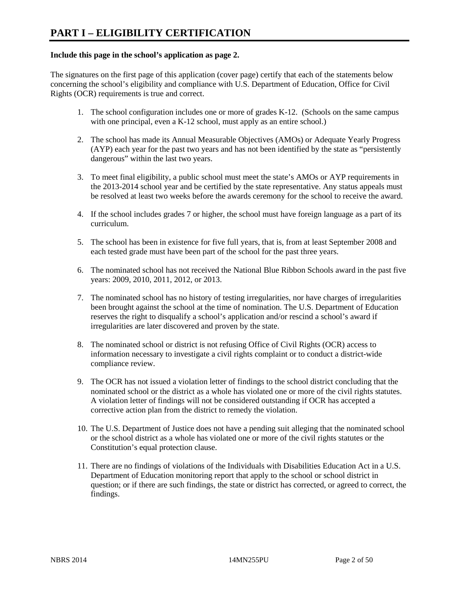#### **Include this page in the school's application as page 2.**

The signatures on the first page of this application (cover page) certify that each of the statements below concerning the school's eligibility and compliance with U.S. Department of Education, Office for Civil Rights (OCR) requirements is true and correct.

- 1. The school configuration includes one or more of grades K-12. (Schools on the same campus with one principal, even a K-12 school, must apply as an entire school.)
- 2. The school has made its Annual Measurable Objectives (AMOs) or Adequate Yearly Progress (AYP) each year for the past two years and has not been identified by the state as "persistently dangerous" within the last two years.
- 3. To meet final eligibility, a public school must meet the state's AMOs or AYP requirements in the 2013-2014 school year and be certified by the state representative. Any status appeals must be resolved at least two weeks before the awards ceremony for the school to receive the award.
- 4. If the school includes grades 7 or higher, the school must have foreign language as a part of its curriculum.
- 5. The school has been in existence for five full years, that is, from at least September 2008 and each tested grade must have been part of the school for the past three years.
- 6. The nominated school has not received the National Blue Ribbon Schools award in the past five years: 2009, 2010, 2011, 2012, or 2013.
- 7. The nominated school has no history of testing irregularities, nor have charges of irregularities been brought against the school at the time of nomination. The U.S. Department of Education reserves the right to disqualify a school's application and/or rescind a school's award if irregularities are later discovered and proven by the state.
- 8. The nominated school or district is not refusing Office of Civil Rights (OCR) access to information necessary to investigate a civil rights complaint or to conduct a district-wide compliance review.
- 9. The OCR has not issued a violation letter of findings to the school district concluding that the nominated school or the district as a whole has violated one or more of the civil rights statutes. A violation letter of findings will not be considered outstanding if OCR has accepted a corrective action plan from the district to remedy the violation.
- 10. The U.S. Department of Justice does not have a pending suit alleging that the nominated school or the school district as a whole has violated one or more of the civil rights statutes or the Constitution's equal protection clause.
- 11. There are no findings of violations of the Individuals with Disabilities Education Act in a U.S. Department of Education monitoring report that apply to the school or school district in question; or if there are such findings, the state or district has corrected, or agreed to correct, the findings.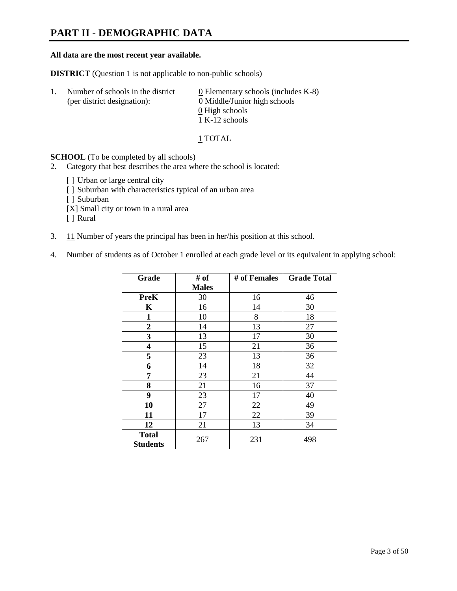### **PART II - DEMOGRAPHIC DATA**

#### **All data are the most recent year available.**

**DISTRICT** (Question 1 is not applicable to non-public schools)

| -1. | Number of schools in the district<br>(per district designation): | $\underline{0}$ Elementary schools (includes K-8)<br>0 Middle/Junior high schools |  |
|-----|------------------------------------------------------------------|-----------------------------------------------------------------------------------|--|
|     |                                                                  | 0 High schools                                                                    |  |
|     |                                                                  | 1 K-12 schools                                                                    |  |

1 TOTAL

**SCHOOL** (To be completed by all schools)

- 2. Category that best describes the area where the school is located:
	- [] Urban or large central city
	- [ ] Suburban with characteristics typical of an urban area
	- [ ] Suburban
	- [X] Small city or town in a rural area
	- [ ] Rural
- 3. 11 Number of years the principal has been in her/his position at this school.
- 4. Number of students as of October 1 enrolled at each grade level or its equivalent in applying school:

| Grade                           | # of         | # of Females | <b>Grade Total</b> |
|---------------------------------|--------------|--------------|--------------------|
|                                 | <b>Males</b> |              |                    |
| <b>PreK</b>                     | 30           | 16           | 46                 |
| K                               | 16           | 14           | 30                 |
| $\mathbf{1}$                    | 10           | 8            | 18                 |
| $\overline{2}$                  | 14           | 13           | 27                 |
| 3                               | 13           | 17           | 30                 |
| 4                               | 15           | 21           | 36                 |
| 5                               | 23           | 13           | 36                 |
| 6                               | 14           | 18           | 32                 |
| 7                               | 23           | 21           | 44                 |
| 8                               | 21           | 16           | 37                 |
| 9                               | 23           | 17           | 40                 |
| 10                              | 27           | 22           | 49                 |
| 11                              | 17           | 22           | 39                 |
| 12                              | 21           | 13           | 34                 |
| <b>Total</b><br><b>Students</b> | 267          | 231          | 498                |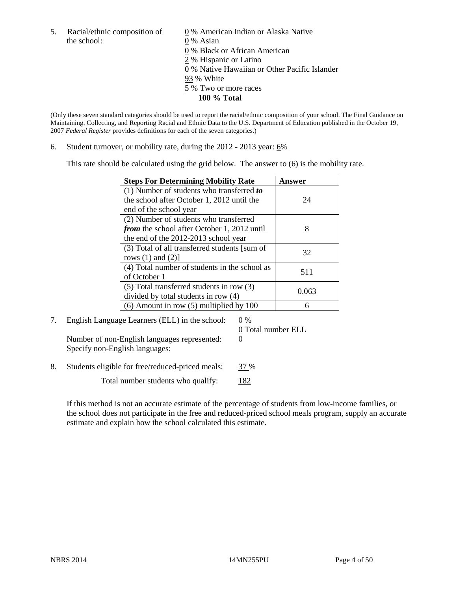5. Racial/ethnic composition of  $\qquad \qquad \underline{0}$  % American Indian or Alaska Native the school: 0 % Asian

 0 % Black or African American 2 % Hispanic or Latino 0 % Native Hawaiian or Other Pacific Islander 93 % White 5 % Two or more races **100 % Total** 

(Only these seven standard categories should be used to report the racial/ethnic composition of your school. The Final Guidance on Maintaining, Collecting, and Reporting Racial and Ethnic Data to the U.S. Department of Education published in the October 19, 2007 *Federal Register* provides definitions for each of the seven categories.)

6. Student turnover, or mobility rate, during the  $2012 - 2013$  year:  $6\%$ 

This rate should be calculated using the grid below. The answer to (6) is the mobility rate.

| <b>Steps For Determining Mobility Rate</b>         | Answer |
|----------------------------------------------------|--------|
| $(1)$ Number of students who transferred to        |        |
| the school after October 1, 2012 until the         | 24     |
| end of the school year                             |        |
| (2) Number of students who transferred             |        |
| <i>from</i> the school after October 1, 2012 until |        |
| the end of the 2012-2013 school year               |        |
| (3) Total of all transferred students [sum of      | 32     |
| rows $(1)$ and $(2)$ ]                             |        |
| (4) Total number of students in the school as      | 511    |
| of October 1                                       |        |
| $(5)$ Total transferred students in row $(3)$      | 0.063  |
| divided by total students in row (4)               |        |
| $(6)$ Amount in row $(5)$ multiplied by 100        |        |

7. English Language Learners (ELL) in the school:  $0\%$ Number of non-English languages represented:  $0$ Specify non-English languages:

0 Total number ELL

8. Students eligible for free/reduced-priced meals: 37 %

Total number students who qualify: 182

If this method is not an accurate estimate of the percentage of students from low-income families, or the school does not participate in the free and reduced-priced school meals program, supply an accurate estimate and explain how the school calculated this estimate.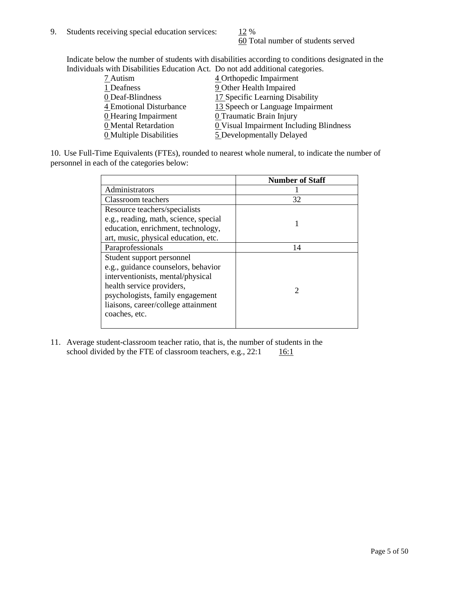60 Total number of students served

Indicate below the number of students with disabilities according to conditions designated in the Individuals with Disabilities Education Act. Do not add additional categories.

| <u>martically trial Disachities Buaealon ried. Do not auu auuritonal eale conest</u> |                                         |
|--------------------------------------------------------------------------------------|-----------------------------------------|
| 7 Autism                                                                             | 4 Orthopedic Impairment                 |
| 1 Deafness                                                                           | 9 Other Health Impaired                 |
| 0 Deaf-Blindness                                                                     | 17 Specific Learning Disability         |
| 4 Emotional Disturbance                                                              | 13 Speech or Language Impairment        |
| 0 Hearing Impairment                                                                 | 0 Traumatic Brain Injury                |
| 0 Mental Retardation                                                                 | 0 Visual Impairment Including Blindness |
| 0 Multiple Disabilities                                                              | 5 Developmentally Delayed               |
|                                                                                      |                                         |

10. Use Full-Time Equivalents (FTEs), rounded to nearest whole numeral, to indicate the number of personnel in each of the categories below:

|                                       | <b>Number of Staff</b>      |
|---------------------------------------|-----------------------------|
| Administrators                        |                             |
| Classroom teachers                    | 32                          |
| Resource teachers/specialists         |                             |
| e.g., reading, math, science, special |                             |
| education, enrichment, technology,    |                             |
| art, music, physical education, etc.  |                             |
| Paraprofessionals                     | 14                          |
| Student support personnel             |                             |
| e.g., guidance counselors, behavior   |                             |
| interventionists, mental/physical     |                             |
| health service providers,             | $\mathcal{D}_{\mathcal{L}}$ |
| psychologists, family engagement      |                             |
| liaisons, career/college attainment   |                             |
| coaches, etc.                         |                             |
|                                       |                             |

11. Average student-classroom teacher ratio, that is, the number of students in the school divided by the FTE of classroom teachers, e.g.,  $22:1$  16:1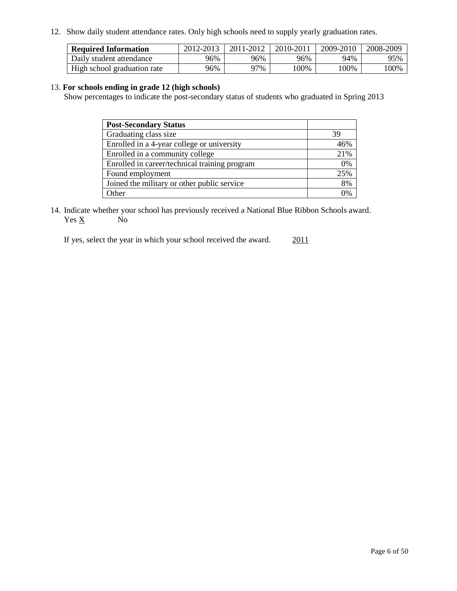12. Show daily student attendance rates. Only high schools need to supply yearly graduation rates.

| <b>Required Information</b> | 2012-2013 | 2011-2012 | 2010-2011 | 2009-2010 | 2008-2009 |
|-----------------------------|-----------|-----------|-----------|-----------|-----------|
| Daily student attendance    | 96%       | 96%       | 96%       | 94%       | 95%       |
| High school graduation rate | 96%       | 77%       | 00%       | 00%       | 100%      |

#### 13. **For schools ending in grade 12 (high schools)**

Show percentages to indicate the post-secondary status of students who graduated in Spring 2013

| <b>Post-Secondary Status</b>                  |     |
|-----------------------------------------------|-----|
| Graduating class size                         | 39  |
| Enrolled in a 4-year college or university    | 46% |
| Enrolled in a community college               | 21% |
| Enrolled in career/technical training program | 0%  |
| Found employment                              | 25% |
| Joined the military or other public service   | 8%  |
| Other                                         | 0%  |

14. Indicate whether your school has previously received a National Blue Ribbon Schools award.  $Yes \underline{X}$  No

If yes, select the year in which your school received the award. 2011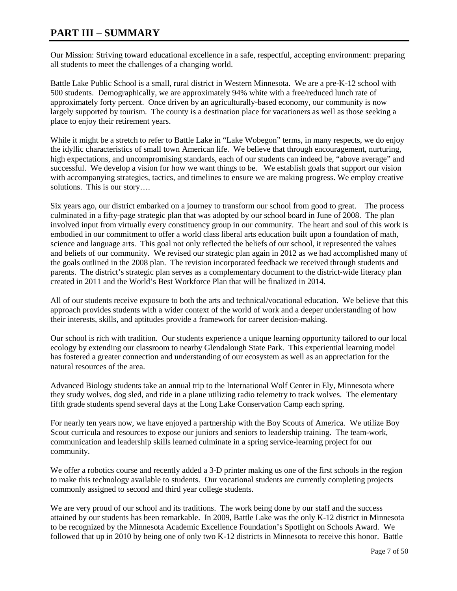### **PART III – SUMMARY**

Our Mission: Striving toward educational excellence in a safe, respectful, accepting environment: preparing all students to meet the challenges of a changing world.

Battle Lake Public School is a small, rural district in Western Minnesota. We are a pre-K-12 school with 500 students. Demographically, we are approximately 94% white with a free/reduced lunch rate of approximately forty percent. Once driven by an agriculturally-based economy, our community is now largely supported by tourism. The county is a destination place for vacationers as well as those seeking a place to enjoy their retirement years.

While it might be a stretch to refer to Battle Lake in "Lake Wobegon" terms, in many respects, we do enjoy the idyllic characteristics of small town American life. We believe that through encouragement, nurturing, high expectations, and uncompromising standards, each of our students can indeed be, "above average" and successful. We develop a vision for how we want things to be. We establish goals that support our vision with accompanying strategies, tactics, and timelines to ensure we are making progress. We employ creative solutions. This is our story....

Six years ago, our district embarked on a journey to transform our school from good to great. The process culminated in a fifty-page strategic plan that was adopted by our school board in June of 2008. The plan involved input from virtually every constituency group in our community. The heart and soul of this work is embodied in our commitment to offer a world class liberal arts education built upon a foundation of math, science and language arts. This goal not only reflected the beliefs of our school, it represented the values and beliefs of our community. We revised our strategic plan again in 2012 as we had accomplished many of the goals outlined in the 2008 plan. The revision incorporated feedback we received through students and parents. The district's strategic plan serves as a complementary document to the district-wide literacy plan created in 2011 and the World's Best Workforce Plan that will be finalized in 2014.

All of our students receive exposure to both the arts and technical/vocational education. We believe that this approach provides students with a wider context of the world of work and a deeper understanding of how their interests, skills, and aptitudes provide a framework for career decision-making.

Our school is rich with tradition. Our students experience a unique learning opportunity tailored to our local ecology by extending our classroom to nearby Glendalough State Park. This experiential learning model has fostered a greater connection and understanding of our ecosystem as well as an appreciation for the natural resources of the area.

Advanced Biology students take an annual trip to the International Wolf Center in Ely, Minnesota where they study wolves, dog sled, and ride in a plane utilizing radio telemetry to track wolves. The elementary fifth grade students spend several days at the Long Lake Conservation Camp each spring.

For nearly ten years now, we have enjoyed a partnership with the Boy Scouts of America. We utilize Boy Scout curricula and resources to expose our juniors and seniors to leadership training. The team-work, communication and leadership skills learned culminate in a spring service-learning project for our community.

We offer a robotics course and recently added a 3-D printer making us one of the first schools in the region to make this technology available to students. Our vocational students are currently completing projects commonly assigned to second and third year college students.

We are very proud of our school and its traditions. The work being done by our staff and the success attained by our students has been remarkable. In 2009, Battle Lake was the only K-12 district in Minnesota to be recognized by the Minnesota Academic Excellence Foundation's Spotlight on Schools Award. We followed that up in 2010 by being one of only two K-12 districts in Minnesota to receive this honor. Battle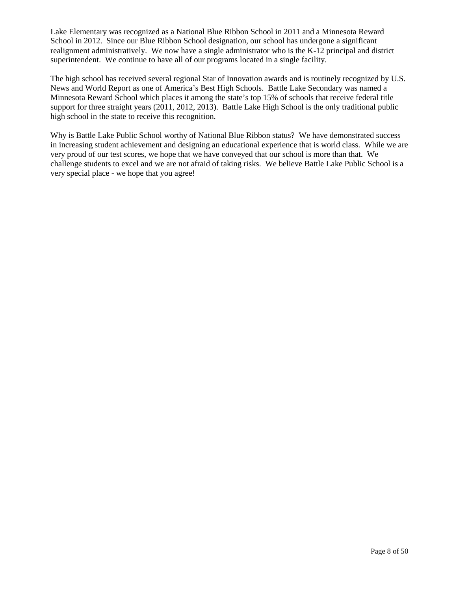Lake Elementary was recognized as a National Blue Ribbon School in 2011 and a Minnesota Reward School in 2012. Since our Blue Ribbon School designation, our school has undergone a significant realignment administratively. We now have a single administrator who is the K-12 principal and district superintendent. We continue to have all of our programs located in a single facility.

The high school has received several regional Star of Innovation awards and is routinely recognized by U.S. News and World Report as one of America's Best High Schools. Battle Lake Secondary was named a Minnesota Reward School which places it among the state's top 15% of schools that receive federal title support for three straight years (2011, 2012, 2013). Battle Lake High School is the only traditional public high school in the state to receive this recognition.

Why is Battle Lake Public School worthy of National Blue Ribbon status? We have demonstrated success in increasing student achievement and designing an educational experience that is world class. While we are very proud of our test scores, we hope that we have conveyed that our school is more than that. We challenge students to excel and we are not afraid of taking risks. We believe Battle Lake Public School is a very special place - we hope that you agree!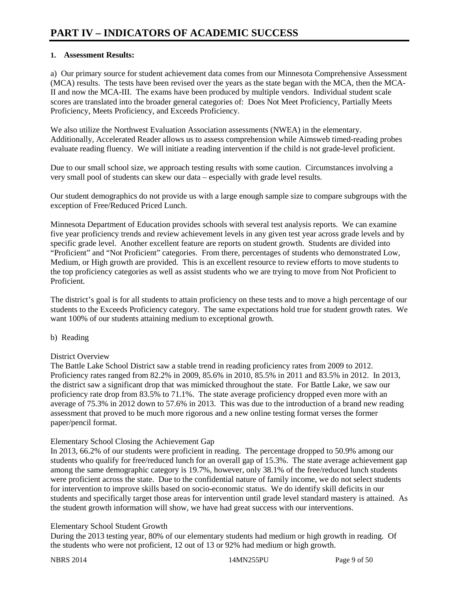#### **1. Assessment Results:**

a) Our primary source for student achievement data comes from our Minnesota Comprehensive Assessment (MCA) results. The tests have been revised over the years as the state began with the MCA, then the MCA-II and now the MCA-III. The exams have been produced by multiple vendors. Individual student scale scores are translated into the broader general categories of: Does Not Meet Proficiency, Partially Meets Proficiency, Meets Proficiency, and Exceeds Proficiency.

We also utilize the Northwest Evaluation Association assessments (NWEA) in the elementary. Additionally, Accelerated Reader allows us to assess comprehension while Aimsweb timed-reading probes evaluate reading fluency. We will initiate a reading intervention if the child is not grade-level proficient.

Due to our small school size, we approach testing results with some caution. Circumstances involving a very small pool of students can skew our data – especially with grade level results.

Our student demographics do not provide us with a large enough sample size to compare subgroups with the exception of Free/Reduced Priced Lunch.

Minnesota Department of Education provides schools with several test analysis reports. We can examine five year proficiency trends and review achievement levels in any given test year across grade levels and by specific grade level. Another excellent feature are reports on student growth. Students are divided into "Proficient" and "Not Proficient" categories. From there, percentages of students who demonstrated Low, Medium, or High growth are provided. This is an excellent resource to review efforts to move students to the top proficiency categories as well as assist students who we are trying to move from Not Proficient to Proficient.

The district's goal is for all students to attain proficiency on these tests and to move a high percentage of our students to the Exceeds Proficiency category. The same expectations hold true for student growth rates. We want 100% of our students attaining medium to exceptional growth.

#### b) Reading

#### District Overview

The Battle Lake School District saw a stable trend in reading proficiency rates from 2009 to 2012. Proficiency rates ranged from 82.2% in 2009, 85.6% in 2010, 85.5% in 2011 and 83.5% in 2012. In 2013, the district saw a significant drop that was mimicked throughout the state. For Battle Lake, we saw our proficiency rate drop from 83.5% to 71.1%. The state average proficiency dropped even more with an average of 75.3% in 2012 down to 57.6% in 2013. This was due to the introduction of a brand new reading assessment that proved to be much more rigorous and a new online testing format verses the former paper/pencil format.

#### Elementary School Closing the Achievement Gap

In 2013, 66.2% of our students were proficient in reading. The percentage dropped to 50.9% among our students who qualify for free/reduced lunch for an overall gap of 15.3%. The state average achievement gap among the same demographic category is 19.7%, however, only 38.1% of the free/reduced lunch students were proficient across the state. Due to the confidential nature of family income, we do not select students for intervention to improve skills based on socio-economic status. We do identify skill deficits in our students and specifically target those areas for intervention until grade level standard mastery is attained. As the student growth information will show, we have had great success with our interventions.

#### Elementary School Student Growth

During the 2013 testing year, 80% of our elementary students had medium or high growth in reading. Of the students who were not proficient, 12 out of 13 or 92% had medium or high growth.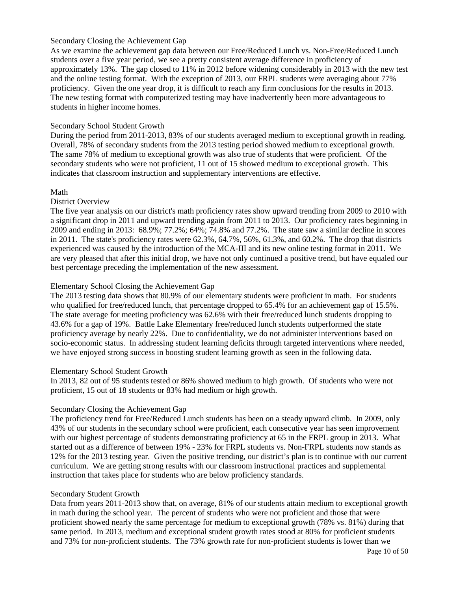#### Secondary Closing the Achievement Gap

As we examine the achievement gap data between our Free/Reduced Lunch vs. Non-Free/Reduced Lunch students over a five year period, we see a pretty consistent average difference in proficiency of approximately 13%. The gap closed to 11% in 2012 before widening considerably in 2013 with the new test and the online testing format. With the exception of 2013, our FRPL students were averaging about 77% proficiency. Given the one year drop, it is difficult to reach any firm conclusions for the results in 2013. The new testing format with computerized testing may have inadvertently been more advantageous to students in higher income homes.

#### Secondary School Student Growth

During the period from 2011-2013, 83% of our students averaged medium to exceptional growth in reading. Overall, 78% of secondary students from the 2013 testing period showed medium to exceptional growth. The same 78% of medium to exceptional growth was also true of students that were proficient. Of the secondary students who were not proficient, 11 out of 15 showed medium to exceptional growth. This indicates that classroom instruction and supplementary interventions are effective.

#### Math

#### District Overview

The five year analysis on our district's math proficiency rates show upward trending from 2009 to 2010 with a significant drop in 2011 and upward trending again from 2011 to 2013. Our proficiency rates beginning in 2009 and ending in 2013: 68.9%; 77.2%; 64%; 74.8% and 77.2%. The state saw a similar decline in scores in 2011. The state's proficiency rates were 62.3%, 64.7%, 56%, 61.3%, and 60.2%. The drop that districts experienced was caused by the introduction of the MCA-III and its new online testing format in 2011. We are very pleased that after this initial drop, we have not only continued a positive trend, but have equaled our best percentage preceding the implementation of the new assessment.

#### Elementary School Closing the Achievement Gap

The 2013 testing data shows that 80.9% of our elementary students were proficient in math. For students who qualified for free/reduced lunch, that percentage dropped to 65.4% for an achievement gap of 15.5%. The state average for meeting proficiency was 62.6% with their free/reduced lunch students dropping to 43.6% for a gap of 19%. Battle Lake Elementary free/reduced lunch students outperformed the state proficiency average by nearly 22%. Due to confidentiality, we do not administer interventions based on socio-economic status. In addressing student learning deficits through targeted interventions where needed, we have enjoyed strong success in boosting student learning growth as seen in the following data.

#### Elementary School Student Growth

In 2013, 82 out of 95 students tested or 86% showed medium to high growth. Of students who were not proficient, 15 out of 18 students or 83% had medium or high growth.

### Secondary Closing the Achievement Gap

The proficiency trend for Free/Reduced Lunch students has been on a steady upward climb. In 2009, only 43% of our students in the secondary school were proficient, each consecutive year has seen improvement with our highest percentage of students demonstrating proficiency at 65 in the FRPL group in 2013. What started out as a difference of between 19% - 23% for FRPL students vs. Non-FRPL students now stands as 12% for the 2013 testing year. Given the positive trending, our district's plan is to continue with our current curriculum. We are getting strong results with our classroom instructional practices and supplemental instruction that takes place for students who are below proficiency standards.

#### Secondary Student Growth

Data from years 2011-2013 show that, on average, 81% of our students attain medium to exceptional growth in math during the school year. The percent of students who were not proficient and those that were proficient showed nearly the same percentage for medium to exceptional growth (78% vs. 81%) during that same period. In 2013, medium and exceptional student growth rates stood at 80% for proficient students and 73% for non-proficient students. The 73% growth rate for non-proficient students is lower than we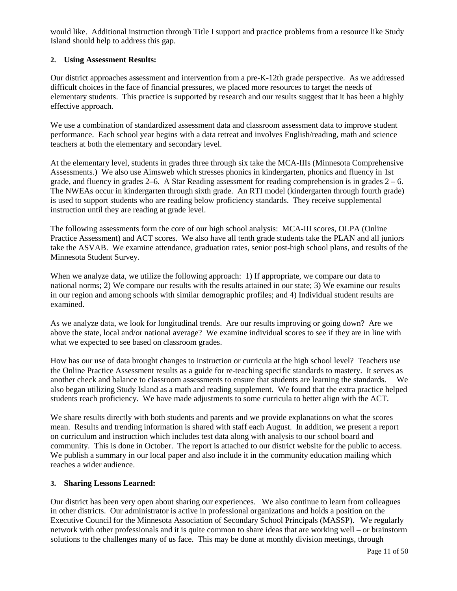would like. Additional instruction through Title I support and practice problems from a resource like Study Island should help to address this gap.

#### **2. Using Assessment Results:**

Our district approaches assessment and intervention from a pre-K-12th grade perspective. As we addressed difficult choices in the face of financial pressures, we placed more resources to target the needs of elementary students. This practice is supported by research and our results suggest that it has been a highly effective approach.

We use a combination of standardized assessment data and classroom assessment data to improve student performance. Each school year begins with a data retreat and involves English/reading, math and science teachers at both the elementary and secondary level.

At the elementary level, students in grades three through six take the MCA-IIIs (Minnesota Comprehensive Assessments.) We also use Aimsweb which stresses phonics in kindergarten, phonics and fluency in 1st grade, and fluency in grades  $2-6$ . A Star Reading assessment for reading comprehension is in grades  $2-6$ . The NWEAs occur in kindergarten through sixth grade. An RTI model (kindergarten through fourth grade) is used to support students who are reading below proficiency standards. They receive supplemental instruction until they are reading at grade level.

The following assessments form the core of our high school analysis: MCA-III scores, OLPA (Online Practice Assessment) and ACT scores. We also have all tenth grade students take the PLAN and all juniors take the ASVAB. We examine attendance, graduation rates, senior post-high school plans, and results of the Minnesota Student Survey.

When we analyze data, we utilize the following approach: 1) If appropriate, we compare our data to national norms; 2) We compare our results with the results attained in our state; 3) We examine our results in our region and among schools with similar demographic profiles; and 4) Individual student results are examined.

As we analyze data, we look for longitudinal trends. Are our results improving or going down? Are we above the state, local and/or national average? We examine individual scores to see if they are in line with what we expected to see based on classroom grades.

How has our use of data brought changes to instruction or curricula at the high school level? Teachers use the Online Practice Assessment results as a guide for re-teaching specific standards to mastery. It serves as another check and balance to classroom assessments to ensure that students are learning the standards. We also began utilizing Study Island as a math and reading supplement. We found that the extra practice helped students reach proficiency. We have made adjustments to some curricula to better align with the ACT.

We share results directly with both students and parents and we provide explanations on what the scores mean. Results and trending information is shared with staff each August. In addition, we present a report on curriculum and instruction which includes test data along with analysis to our school board and community. This is done in October. The report is attached to our district website for the public to access. We publish a summary in our local paper and also include it in the community education mailing which reaches a wider audience.

#### **3. Sharing Lessons Learned:**

Our district has been very open about sharing our experiences. We also continue to learn from colleagues in other districts. Our administrator is active in professional organizations and holds a position on the Executive Council for the Minnesota Association of Secondary School Principals (MASSP). We regularly network with other professionals and it is quite common to share ideas that are working well – or brainstorm solutions to the challenges many of us face. This may be done at monthly division meetings, through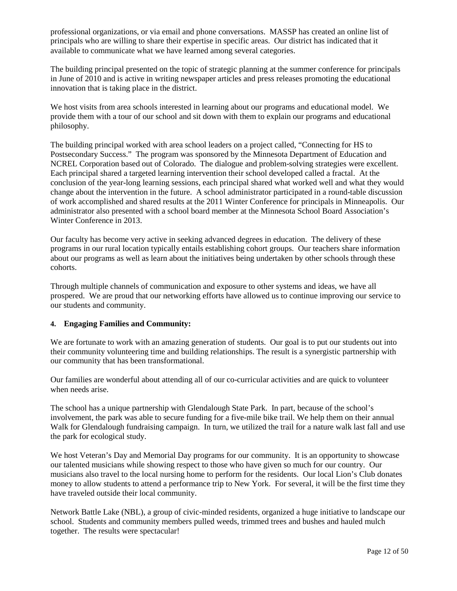professional organizations, or via email and phone conversations. MASSP has created an online list of principals who are willing to share their expertise in specific areas. Our district has indicated that it available to communicate what we have learned among several categories.

The building principal presented on the topic of strategic planning at the summer conference for principals in June of 2010 and is active in writing newspaper articles and press releases promoting the educational innovation that is taking place in the district.

We host visits from area schools interested in learning about our programs and educational model. We provide them with a tour of our school and sit down with them to explain our programs and educational philosophy.

The building principal worked with area school leaders on a project called, "Connecting for HS to Postsecondary Success." The program was sponsored by the Minnesota Department of Education and NCREL Corporation based out of Colorado. The dialogue and problem-solving strategies were excellent. Each principal shared a targeted learning intervention their school developed called a fractal. At the conclusion of the year-long learning sessions, each principal shared what worked well and what they would change about the intervention in the future. A school administrator participated in a round-table discussion of work accomplished and shared results at the 2011 Winter Conference for principals in Minneapolis. Our administrator also presented with a school board member at the Minnesota School Board Association's Winter Conference in 2013.

Our faculty has become very active in seeking advanced degrees in education. The delivery of these programs in our rural location typically entails establishing cohort groups. Our teachers share information about our programs as well as learn about the initiatives being undertaken by other schools through these cohorts.

Through multiple channels of communication and exposure to other systems and ideas, we have all prospered. We are proud that our networking efforts have allowed us to continue improving our service to our students and community.

#### **4. Engaging Families and Community:**

We are fortunate to work with an amazing generation of students. Our goal is to put our students out into their community volunteering time and building relationships. The result is a synergistic partnership with our community that has been transformational.

Our families are wonderful about attending all of our co-curricular activities and are quick to volunteer when needs arise.

The school has a unique partnership with Glendalough State Park. In part, because of the school's involvement, the park was able to secure funding for a five-mile bike trail. We help them on their annual Walk for Glendalough fundraising campaign. In turn, we utilized the trail for a nature walk last fall and use the park for ecological study.

We host Veteran's Day and Memorial Day programs for our community. It is an opportunity to showcase our talented musicians while showing respect to those who have given so much for our country. Our musicians also travel to the local nursing home to perform for the residents. Our local Lion's Club donates money to allow students to attend a performance trip to New York. For several, it will be the first time they have traveled outside their local community.

Network Battle Lake (NBL), a group of civic-minded residents, organized a huge initiative to landscape our school. Students and community members pulled weeds, trimmed trees and bushes and hauled mulch together. The results were spectacular!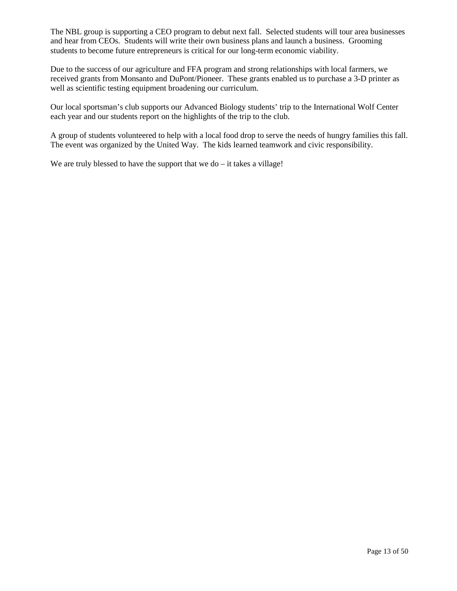The NBL group is supporting a CEO program to debut next fall. Selected students will tour area businesses and hear from CEOs. Students will write their own business plans and launch a business. Grooming students to become future entrepreneurs is critical for our long-term economic viability.

Due to the success of our agriculture and FFA program and strong relationships with local farmers, we received grants from Monsanto and DuPont/Pioneer. These grants enabled us to purchase a 3-D printer as well as scientific testing equipment broadening our curriculum.

Our local sportsman's club supports our Advanced Biology students' trip to the International Wolf Center each year and our students report on the highlights of the trip to the club.

A group of students volunteered to help with a local food drop to serve the needs of hungry families this fall. The event was organized by the United Way. The kids learned teamwork and civic responsibility.

We are truly blessed to have the support that we do  $-$  it takes a village!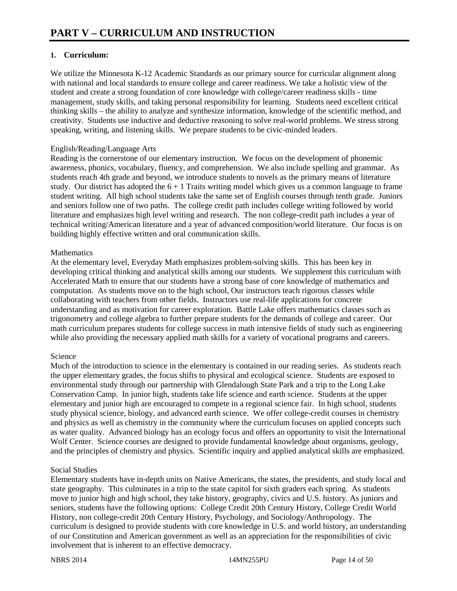#### **1. Curriculum:**

We utilize the Minnesota K-12 Academic Standards as our primary source for curricular alignment along with national and local standards to ensure college and career readiness. We take a holistic view of the student and create a strong foundation of core knowledge with college/career readiness skills - time management, study skills, and taking personal responsibility for learning. Students need excellent critical thinking skills – the ability to analyze and synthesize information, knowledge of the scientific method, and creativity. Students use inductive and deductive reasoning to solve real-world problems. We stress strong speaking, writing, and listening skills. We prepare students to be civic-minded leaders.

#### English/Reading/Language Arts

Reading is the cornerstone of our elementary instruction. We focus on the development of phonemic awareness, phonics, vocabulary, fluency, and comprehension. We also include spelling and grammar. As students reach 4th grade and beyond, we introduce students to novels as the primary means of literature study. Our district has adopted the  $6 + 1$  Traits writing model which gives us a common language to frame student writing. All high school students take the same set of English courses through tenth grade. Juniors and seniors follow one of two paths. The college credit path includes college writing followed by world literature and emphasizes high level writing and research. The non college-credit path includes a year of technical writing/American literature and a year of advanced composition/world literature. Our focus is on building highly effective written and oral communication skills.

#### **Mathematics**

At the elementary level, Everyday Math emphasizes problem-solving skills. This has been key in developing critical thinking and analytical skills among our students. We supplement this curriculum with Accelerated Math to ensure that our students have a strong base of core knowledge of mathematics and computation. As students move on to the high school, Our instructors teach rigorous classes while collaborating with teachers from other fields. Instructors use real-life applications for concrete understanding and as motivation for career exploration. Battle Lake offers mathematics classes such as trigonometry and college algebra to further prepare students for the demands of college and career. Our math curriculum prepares students for college success in math intensive fields of study such as engineering while also providing the necessary applied math skills for a variety of vocational programs and careers.

### Science

Much of the introduction to science in the elementary is contained in our reading series. As students reach the upper elementary grades, the focus shifts to physical and ecological science. Students are exposed to environmental study through our partnership with Glendalough State Park and a trip to the Long Lake Conservation Camp. In junior high, students take life science and earth science. Students at the upper elementary and junior high are encouraged to compete in a regional science fair. In high school, students study physical science, biology, and advanced earth science. We offer college-credit courses in chemistry and physics as well as chemistry in the community where the curriculum focuses on applied concepts such as water quality. Advanced biology has an ecology focus and offers an opportunity to visit the International Wolf Center. Science courses are designed to provide fundamental knowledge about organisms, geology, and the principles of chemistry and physics. Scientific inquiry and applied analytical skills are emphasized.

#### Social Studies

Elementary students have in-depth units on Native Americans, the states, the presidents, and study local and state geography. This culminates in a trip to the state capitol for sixth graders each spring. As students move to junior high and high school, they take history, geography, civics and U.S. history. As juniors and seniors, students have the following options: College Credit 20th Century History, College Credit World History, non college-credit 20th Century History, Psychology, and Sociology/Anthropology. The curriculum is designed to provide students with core knowledge in U.S. and world history, an understanding of our Constitution and American government as well as an appreciation for the responsibilities of civic involvement that is inherent to an effective democracy.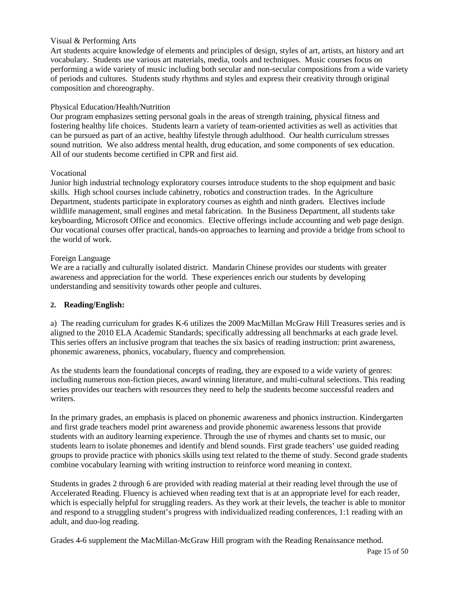#### Visual & Performing Arts

Art students acquire knowledge of elements and principles of design, styles of art, artists, art history and art vocabulary. Students use various art materials, media, tools and techniques. Music courses focus on performing a wide variety of music including both secular and non-secular compositions from a wide variety of periods and cultures. Students study rhythms and styles and express their creativity through original composition and choreography.

#### Physical Education/Health/Nutrition

Our program emphasizes setting personal goals in the areas of strength training, physical fitness and fostering healthy life choices. Students learn a variety of team-oriented activities as well as activities that can be pursued as part of an active, healthy lifestyle through adulthood. Our health curriculum stresses sound nutrition. We also address mental health, drug education, and some components of sex education. All of our students become certified in CPR and first aid.

#### Vocational

Junior high industrial technology exploratory courses introduce students to the shop equipment and basic skills. High school courses include cabinetry, robotics and construction trades. In the Agriculture Department, students participate in exploratory courses as eighth and ninth graders. Electives include wildlife management, small engines and metal fabrication. In the Business Department, all students take keyboarding, Microsoft Office and economics. Elective offerings include accounting and web page design. Our vocational courses offer practical, hands-on approaches to learning and provide a bridge from school to the world of work.

#### Foreign Language

We are a racially and culturally isolated district. Mandarin Chinese provides our students with greater awareness and appreciation for the world. These experiences enrich our students by developing understanding and sensitivity towards other people and cultures.

#### **2. Reading/English:**

a) The reading curriculum for grades K-6 utilizes the 2009 MacMillan McGraw Hill Treasures series and is aligned to the 2010 ELA Academic Standards; specifically addressing all benchmarks at each grade level. This series offers an inclusive program that teaches the six basics of reading instruction: print awareness, phonemic awareness, phonics, vocabulary, fluency and comprehension.

As the students learn the foundational concepts of reading, they are exposed to a wide variety of genres: including numerous non-fiction pieces, award winning literature, and multi-cultural selections. This reading series provides our teachers with resources they need to help the students become successful readers and writers.

In the primary grades, an emphasis is placed on phonemic awareness and phonics instruction. Kindergarten and first grade teachers model print awareness and provide phonemic awareness lessons that provide students with an auditory learning experience. Through the use of rhymes and chants set to music, our students learn to isolate phonemes and identify and blend sounds. First grade teachers' use guided reading groups to provide practice with phonics skills using text related to the theme of study. Second grade students combine vocabulary learning with writing instruction to reinforce word meaning in context.

Students in grades 2 through 6 are provided with reading material at their reading level through the use of Accelerated Reading. Fluency is achieved when reading text that is at an appropriate level for each reader, which is especially helpful for struggling readers. As they work at their levels, the teacher is able to monitor and respond to a struggling student's progress with individualized reading conferences, 1:1 reading with an adult, and duo-log reading.

Grades 4-6 supplement the MacMillan-McGraw Hill program with the Reading Renaissance method.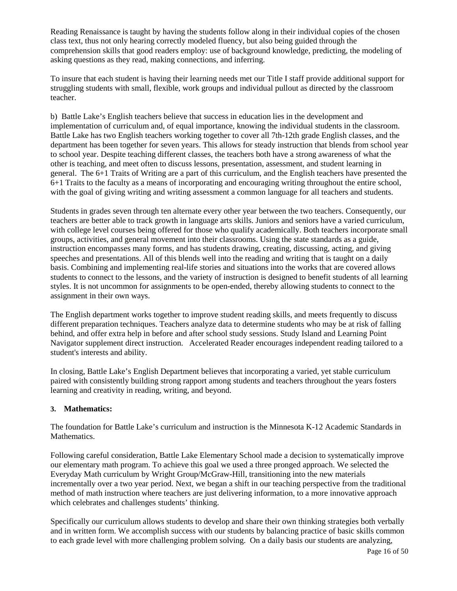Reading Renaissance is taught by having the students follow along in their individual copies of the chosen class text, thus not only hearing correctly modeled fluency, but also being guided through the comprehension skills that good readers employ: use of background knowledge, predicting, the modeling of asking questions as they read, making connections, and inferring.

To insure that each student is having their learning needs met our Title I staff provide additional support for struggling students with small, flexible, work groups and individual pullout as directed by the classroom teacher.

b) Battle Lake's English teachers believe that success in education lies in the development and implementation of curriculum and, of equal importance, knowing the individual students in the classroom. Battle Lake has two English teachers working together to cover all 7th-12th grade English classes, and the department has been together for seven years. This allows for steady instruction that blends from school year to school year. Despite teaching different classes, the teachers both have a strong awareness of what the other is teaching, and meet often to discuss lessons, presentation, assessment, and student learning in general. The 6+1 Traits of Writing are a part of this curriculum, and the English teachers have presented the 6+1 Traits to the faculty as a means of incorporating and encouraging writing throughout the entire school, with the goal of giving writing and writing assessment a common language for all teachers and students.

Students in grades seven through ten alternate every other year between the two teachers. Consequently, our teachers are better able to track growth in language arts skills. Juniors and seniors have a varied curriculum, with college level courses being offered for those who qualify academically. Both teachers incorporate small groups, activities, and general movement into their classrooms. Using the state standards as a guide, instruction encompasses many forms, and has students drawing, creating, discussing, acting, and giving speeches and presentations. All of this blends well into the reading and writing that is taught on a daily basis. Combining and implementing real-life stories and situations into the works that are covered allows students to connect to the lessons, and the variety of instruction is designed to benefit students of all learning styles. It is not uncommon for assignments to be open-ended, thereby allowing students to connect to the assignment in their own ways.

The English department works together to improve student reading skills, and meets frequently to discuss different preparation techniques. Teachers analyze data to determine students who may be at risk of falling behind, and offer extra help in before and after school study sessions. Study Island and Learning Point Navigator supplement direct instruction. Accelerated Reader encourages independent reading tailored to a student's interests and ability.

In closing, Battle Lake's English Department believes that incorporating a varied, yet stable curriculum paired with consistently building strong rapport among students and teachers throughout the years fosters learning and creativity in reading, writing, and beyond.

### **3. Mathematics:**

The foundation for Battle Lake's curriculum and instruction is the Minnesota K-12 Academic Standards in Mathematics.

Following careful consideration, Battle Lake Elementary School made a decision to systematically improve our elementary math program. To achieve this goal we used a three pronged approach. We selected the Everyday Math curriculum by Wright Group/McGraw-Hill, transitioning into the new materials incrementally over a two year period. Next, we began a shift in our teaching perspective from the traditional method of math instruction where teachers are just delivering information, to a more innovative approach which celebrates and challenges students' thinking.

Specifically our curriculum allows students to develop and share their own thinking strategies both verbally and in written form. We accomplish success with our students by balancing practice of basic skills common to each grade level with more challenging problem solving. On a daily basis our students are analyzing,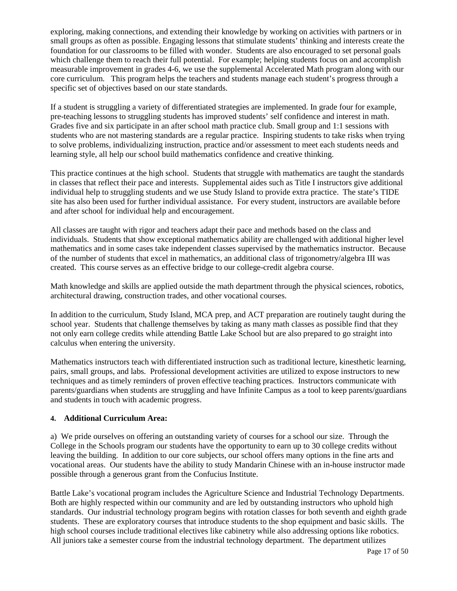exploring, making connections, and extending their knowledge by working on activities with partners or in small groups as often as possible. Engaging lessons that stimulate students' thinking and interests create the foundation for our classrooms to be filled with wonder. Students are also encouraged to set personal goals which challenge them to reach their full potential. For example; helping students focus on and accomplish measurable improvement in grades 4-6, we use the supplemental Accelerated Math program along with our core curriculum. This program helps the teachers and students manage each student's progress through a specific set of objectives based on our state standards.

If a student is struggling a variety of differentiated strategies are implemented. In grade four for example, pre-teaching lessons to struggling students has improved students' self confidence and interest in math. Grades five and six participate in an after school math practice club. Small group and 1:1 sessions with students who are not mastering standards are a regular practice. Inspiring students to take risks when trying to solve problems, individualizing instruction, practice and/or assessment to meet each students needs and learning style, all help our school build mathematics confidence and creative thinking.

This practice continues at the high school. Students that struggle with mathematics are taught the standards in classes that reflect their pace and interests. Supplemental aides such as Title I instructors give additional individual help to struggling students and we use Study Island to provide extra practice. The state's TIDE site has also been used for further individual assistance. For every student, instructors are available before and after school for individual help and encouragement.

All classes are taught with rigor and teachers adapt their pace and methods based on the class and individuals. Students that show exceptional mathematics ability are challenged with additional higher level mathematics and in some cases take independent classes supervised by the mathematics instructor. Because of the number of students that excel in mathematics, an additional class of trigonometry/algebra III was created. This course serves as an effective bridge to our college-credit algebra course.

Math knowledge and skills are applied outside the math department through the physical sciences, robotics, architectural drawing, construction trades, and other vocational courses.

In addition to the curriculum, Study Island, MCA prep, and ACT preparation are routinely taught during the school year. Students that challenge themselves by taking as many math classes as possible find that they not only earn college credits while attending Battle Lake School but are also prepared to go straight into calculus when entering the university.

Mathematics instructors teach with differentiated instruction such as traditional lecture, kinesthetic learning, pairs, small groups, and labs. Professional development activities are utilized to expose instructors to new techniques and as timely reminders of proven effective teaching practices. Instructors communicate with parents/guardians when students are struggling and have Infinite Campus as a tool to keep parents/guardians and students in touch with academic progress.

#### **4. Additional Curriculum Area:**

a) We pride ourselves on offering an outstanding variety of courses for a school our size. Through the College in the Schools program our students have the opportunity to earn up to 30 college credits without leaving the building. In addition to our core subjects, our school offers many options in the fine arts and vocational areas. Our students have the ability to study Mandarin Chinese with an in-house instructor made possible through a generous grant from the Confucius Institute.

Battle Lake's vocational program includes the Agriculture Science and Industrial Technology Departments. Both are highly respected within our community and are led by outstanding instructors who uphold high standards. Our industrial technology program begins with rotation classes for both seventh and eighth grade students. These are exploratory courses that introduce students to the shop equipment and basic skills. The high school courses include traditional electives like cabinetry while also addressing options like robotics. All juniors take a semester course from the industrial technology department. The department utilizes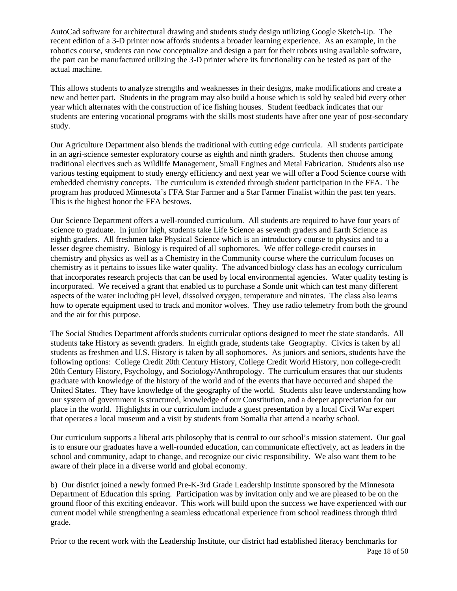AutoCad software for architectural drawing and students study design utilizing Google Sketch-Up. The recent edition of a 3-D printer now affords students a broader learning experience. As an example, in the robotics course, students can now conceptualize and design a part for their robots using available software, the part can be manufactured utilizing the 3-D printer where its functionality can be tested as part of the actual machine.

This allows students to analyze strengths and weaknesses in their designs, make modifications and create a new and better part. Students in the program may also build a house which is sold by sealed bid every other year which alternates with the construction of ice fishing houses. Student feedback indicates that our students are entering vocational programs with the skills most students have after one year of post-secondary study.

Our Agriculture Department also blends the traditional with cutting edge curricula. All students participate in an agri-science semester exploratory course as eighth and ninth graders. Students then choose among traditional electives such as Wildlife Management, Small Engines and Metal Fabrication. Students also use various testing equipment to study energy efficiency and next year we will offer a Food Science course with embedded chemistry concepts. The curriculum is extended through student participation in the FFA. The program has produced Minnesota's FFA Star Farmer and a Star Farmer Finalist within the past ten years. This is the highest honor the FFA bestows.

Our Science Department offers a well-rounded curriculum. All students are required to have four years of science to graduate. In junior high, students take Life Science as seventh graders and Earth Science as eighth graders. All freshmen take Physical Science which is an introductory course to physics and to a lesser degree chemistry. Biology is required of all sophomores. We offer college-credit courses in chemistry and physics as well as a Chemistry in the Community course where the curriculum focuses on chemistry as it pertains to issues like water quality. The advanced biology class has an ecology curriculum that incorporates research projects that can be used by local environmental agencies. Water quality testing is incorporated. We received a grant that enabled us to purchase a Sonde unit which can test many different aspects of the water including pH level, dissolved oxygen, temperature and nitrates. The class also learns how to operate equipment used to track and monitor wolves. They use radio telemetry from both the ground and the air for this purpose.

The Social Studies Department affords students curricular options designed to meet the state standards. All students take History as seventh graders. In eighth grade, students take Geography. Civics is taken by all students as freshmen and U.S. History is taken by all sophomores. As juniors and seniors, students have the following options: College Credit 20th Century History, College Credit World History, non college-credit 20th Century History, Psychology, and Sociology/Anthropology. The curriculum ensures that our students graduate with knowledge of the history of the world and of the events that have occurred and shaped the United States. They have knowledge of the geography of the world. Students also leave understanding how our system of government is structured, knowledge of our Constitution, and a deeper appreciation for our place in the world. Highlights in our curriculum include a guest presentation by a local Civil War expert that operates a local museum and a visit by students from Somalia that attend a nearby school.

Our curriculum supports a liberal arts philosophy that is central to our school's mission statement. Our goal is to ensure our graduates have a well-rounded education, can communicate effectively, act as leaders in the school and community, adapt to change, and recognize our civic responsibility. We also want them to be aware of their place in a diverse world and global economy.

b) Our district joined a newly formed Pre-K-3rd Grade Leadership Institute sponsored by the Minnesota Department of Education this spring. Participation was by invitation only and we are pleased to be on the ground floor of this exciting endeavor. This work will build upon the success we have experienced with our current model while strengthening a seamless educational experience from school readiness through third grade.

Page 18 of 50 Prior to the recent work with the Leadership Institute, our district had established literacy benchmarks for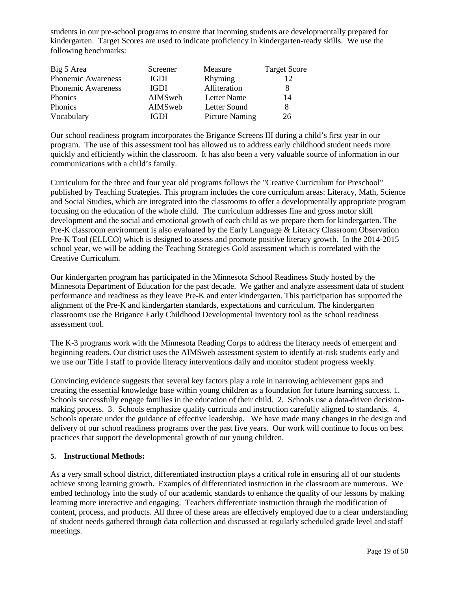students in our pre-school programs to ensure that incoming students are developmentally prepared for kindergarten. Target Scores are used to indicate proficiency in kindergarten-ready skills. We use the following benchmarks:

| Big 5 Area                | Screener    | Measure               | <b>Target Score</b> |
|---------------------------|-------------|-----------------------|---------------------|
| Phonemic Awareness        | <b>IGDI</b> | Rhyming               | 12                  |
| <b>Phonemic Awareness</b> | <b>IGDI</b> | Alliteration          |                     |
| Phonics                   | AIMSweb     | Letter Name           | 14                  |
| <b>Phonics</b>            | AIMSweb     | Letter Sound          | 8                   |
| Vocabulary                | IGDI        | <b>Picture Naming</b> | 26                  |

Our school readiness program incorporates the Brigance Screens III during a child's first year in our program. The use of this assessment tool has allowed us to address early childhood student needs more quickly and efficiently within the classroom. It has also been a very valuable source of information in our communications with a child's family.

Curriculum for the three and four year old programs follows the "Creative Curriculum for Preschool" published by Teaching Strategies. This program includes the core curriculum areas: Literacy, Math, Science and Social Studies, which are integrated into the classrooms to offer a developmentally appropriate program focusing on the education of the whole child. The curriculum addresses fine and gross motor skill development and the social and emotional growth of each child as we prepare them for kindergarten. The Pre-K classroom environment is also evaluated by the Early Language & Literacy Classroom Observation Pre-K Tool (ELLCO) which is designed to assess and promote positive literacy growth. In the 2014-2015 school year, we will be adding the Teaching Strategies Gold assessment which is correlated with the Creative Curriculum.

Our kindergarten program has participated in the Minnesota School Readiness Study hosted by the Minnesota Department of Education for the past decade. We gather and analyze assessment data of student performance and readiness as they leave Pre-K and enter kindergarten. This participation has supported the alignment of the Pre-K and kindergarten standards, expectations and curriculum. The kindergarten classrooms use the Brigance Early Childhood Developmental Inventory tool as the school readiness assessment tool.

The K-3 programs work with the Minnesota Reading Corps to address the literacy needs of emergent and beginning readers. Our district uses the AIMSweb assessment system to identify at-risk students early and we use our Title I staff to provide literacy interventions daily and monitor student progress weekly.

Convincing evidence suggests that several key factors play a role in narrowing achievement gaps and creating the essential knowledge base within young children as a foundation for future learning success. 1. Schools successfully engage families in the education of their child. 2. Schools use a data-driven decisionmaking process. 3. Schools emphasize quality curricula and instruction carefully aligned to standards. 4. Schools operate under the guidance of effective leadership. We have made many changes in the design and delivery of our school readiness programs over the past five years. Our work will continue to focus on best practices that support the developmental growth of our young children.

#### **5. Instructional Methods:**

As a very small school district, differentiated instruction plays a critical role in ensuring all of our students achieve strong learning growth. Examples of differentiated instruction in the classroom are numerous. We embed technology into the study of our academic standards to enhance the quality of our lessons by making learning more interactive and engaging. Teachers differentiate instruction through the modification of content, process, and products. All three of these areas are effectively employed due to a clear understanding of student needs gathered through data collection and discussed at regularly scheduled grade level and staff meetings.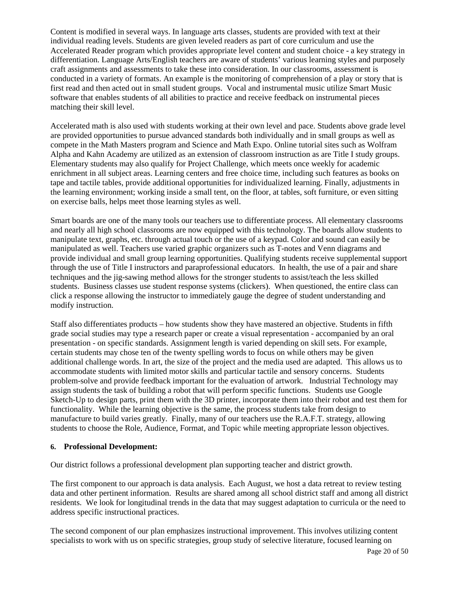Content is modified in several ways. In language arts classes, students are provided with text at their individual reading levels. Students are given leveled readers as part of core curriculum and use the Accelerated Reader program which provides appropriate level content and student choice - a key strategy in differentiation. Language Arts/English teachers are aware of students' various learning styles and purposely craft assignments and assessments to take these into consideration. In our classrooms, assessment is conducted in a variety of formats. An example is the monitoring of comprehension of a play or story that is first read and then acted out in small student groups. Vocal and instrumental music utilize Smart Music software that enables students of all abilities to practice and receive feedback on instrumental pieces matching their skill level.

Accelerated math is also used with students working at their own level and pace. Students above grade level are provided opportunities to pursue advanced standards both individually and in small groups as well as compete in the Math Masters program and Science and Math Expo. Online tutorial sites such as Wolfram Alpha and Kahn Academy are utilized as an extension of classroom instruction as are Title I study groups. Elementary students may also qualify for Project Challenge, which meets once weekly for academic enrichment in all subject areas. Learning centers and free choice time, including such features as books on tape and tactile tables, provide additional opportunities for individualized learning. Finally, adjustments in the learning environment; working inside a small tent, on the floor, at tables, soft furniture, or even sitting on exercise balls, helps meet those learning styles as well.

Smart boards are one of the many tools our teachers use to differentiate process. All elementary classrooms and nearly all high school classrooms are now equipped with this technology. The boards allow students to manipulate text, graphs, etc. through actual touch or the use of a keypad. Color and sound can easily be manipulated as well. Teachers use varied graphic organizers such as T-notes and Venn diagrams and provide individual and small group learning opportunities. Qualifying students receive supplemental support through the use of Title I instructors and paraprofessional educators. In health, the use of a pair and share techniques and the jig-sawing method allows for the stronger students to assist/teach the less skilled students. Business classes use student response systems (clickers). When questioned, the entire class can click a response allowing the instructor to immediately gauge the degree of student understanding and modify instruction.

Staff also differentiates products – how students show they have mastered an objective. Students in fifth grade social studies may type a research paper or create a visual representation - accompanied by an oral presentation - on specific standards. Assignment length is varied depending on skill sets. For example, certain students may chose ten of the twenty spelling words to focus on while others may be given additional challenge words. In art, the size of the project and the media used are adapted. This allows us to accommodate students with limited motor skills and particular tactile and sensory concerns. Students problem-solve and provide feedback important for the evaluation of artwork. Industrial Technology may assign students the task of building a robot that will perform specific functions. Students use Google Sketch-Up to design parts, print them with the 3D printer, incorporate them into their robot and test them for functionality. While the learning objective is the same, the process students take from design to manufacture to build varies greatly. Finally, many of our teachers use the R.A.F.T. strategy, allowing students to choose the Role, Audience, Format, and Topic while meeting appropriate lesson objectives.

#### **6. Professional Development:**

Our district follows a professional development plan supporting teacher and district growth.

The first component to our approach is data analysis. Each August, we host a data retreat to review testing data and other pertinent information. Results are shared among all school district staff and among all district residents. We look for longitudinal trends in the data that may suggest adaptation to curricula or the need to address specific instructional practices.

The second component of our plan emphasizes instructional improvement. This involves utilizing content specialists to work with us on specific strategies, group study of selective literature, focused learning on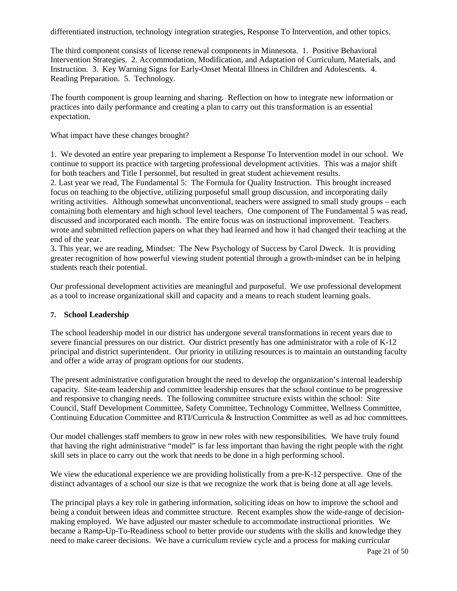differentiated instruction, technology integration strategies, Response To Intervention, and other topics.

The third component consists of license renewal components in Minnesota. 1. Positive Behavioral Intervention Strategies. 2. Accommodation, Modification, and Adaptation of Curriculum, Materials, and Instruction. 3. Key Warning Signs for Early-Onset Mental Illness in Children and Adolescents. 4. Reading Preparation. 5. Technology.

The fourth component is group learning and sharing. Reflection on how to integrate new information or practices into daily performance and creating a plan to carry out this transformation is an essential expectation.

What impact have these changes brought?

1. We devoted an entire year preparing to implement a Response To Intervention model in our school. We continue to support its practice with targeting professional development activities. This was a major shift for both teachers and Title I personnel, but resulted in great student achievement results. 2. Last year we read, The Fundamental 5: The Formula for Quality Instruction. This brought increased focus on teaching to the objective, utilizing purposeful small group discussion, and incorporating daily writing activities. Although somewhat unconventional, teachers were assigned to small study groups – each containing both elementary and high school level teachers. One component of The Fundamental 5 was read, discussed and incorporated each month. The entire focus was on instructional improvement. Teachers wrote and submitted reflection papers on what they had learned and how it had changed their teaching at the end of the year.

3. This year, we are reading, Mindset: The New Psychology of Success by Carol Dweck. It is providing greater recognition of how powerful viewing student potential through a growth-mindset can be in helping students reach their potential.

Our professional development activities are meaningful and purposeful. We use professional development as a tool to increase organizational skill and capacity and a means to reach student learning goals.

#### **7. School Leadership**

The school leadership model in our district has undergone several transformations in recent years due to severe financial pressures on our district. Our district presently has one administrator with a role of K-12 principal and district superintendent. Our priority in utilizing resources is to maintain an outstanding faculty and offer a wide array of program options for our students.

The present administrative configuration brought the need to develop the organization's internal leadership capacity. Site-team leadership and committee leadership ensures that the school continue to be progressive and responsive to changing needs. The following committee structure exists within the school: Site Council, Staff Development Committee, Safety Committee, Technology Committee, Wellness Committee, Continuing Education Committee and RTI/Curricula & Instruction Committee as well as ad hoc committees.

Our model challenges staff members to grow in new roles with new responsibilities. We have truly found that having the right administrative "model" is far less important than having the right people with the right skill sets in place to carry out the work that needs to be done in a high performing school.

We view the educational experience we are providing holistically from a pre-K-12 perspective. One of the distinct advantages of a school our size is that we recognize the work that is being done at all age levels.

The principal plays a key role in gathering information, soliciting ideas on how to improve the school and being a conduit between ideas and committee structure. Recent examples show the wide-range of decisionmaking employed. We have adjusted our master schedule to accommodate instructional priorities. We became a Ramp-Up-To-Readiness school to better provide our students with the skills and knowledge they need to make career decisions. We have a curriculum review cycle and a process for making curricular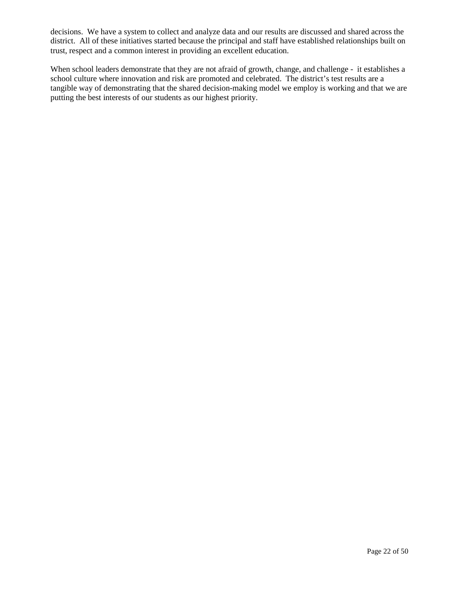decisions. We have a system to collect and analyze data and our results are discussed and shared across the district. All of these initiatives started because the principal and staff have established relationships built on trust, respect and a common interest in providing an excellent education.

When school leaders demonstrate that they are not afraid of growth, change, and challenge - it establishes a school culture where innovation and risk are promoted and celebrated. The district's test results are a tangible way of demonstrating that the shared decision-making model we employ is working and that we are putting the best interests of our students as our highest priority.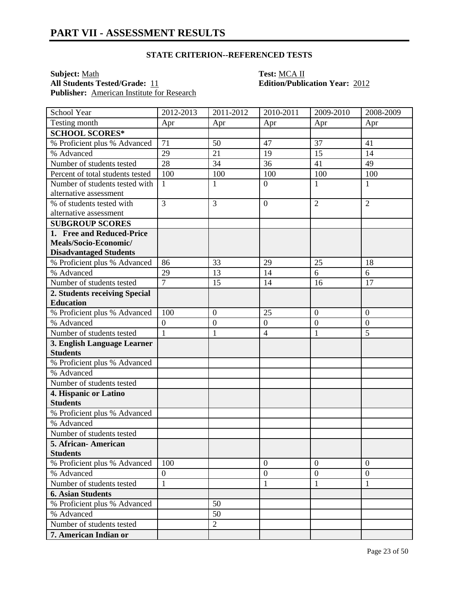**Subject:** <u>Math</u><br> **All Students Tested/Grade:** 11 **Test: MCA II**<br> **Edition/Public Publisher:** American Institute for Research

| School Year                      | 2012-2013        | 2011-2012        | 2010-2011        | 2009-2010      | 2008-2009      |
|----------------------------------|------------------|------------------|------------------|----------------|----------------|
| Testing month                    | Apr              | Apr              | Apr              | Apr            | Apr            |
| <b>SCHOOL SCORES*</b>            |                  |                  |                  |                |                |
| % Proficient plus % Advanced     | 71               | 50               | 47               | 37             | 41             |
| % Advanced                       | 29               | 21               | 19               | 15             | 14             |
| Number of students tested        | 28               | 34               | 36               | 41             | 49             |
| Percent of total students tested | 100              | 100              | 100              | 100            | 100            |
| Number of students tested with   | $\mathbf{1}$     | $\mathbf{1}$     | $\overline{0}$   | $\mathbf{1}$   | $\mathbf{1}$   |
| alternative assessment           |                  |                  |                  |                |                |
| % of students tested with        | 3                | 3                | $\mathbf{0}$     | $\overline{2}$ | $\overline{2}$ |
| alternative assessment           |                  |                  |                  |                |                |
| <b>SUBGROUP SCORES</b>           |                  |                  |                  |                |                |
| 1. Free and Reduced-Price        |                  |                  |                  |                |                |
| Meals/Socio-Economic/            |                  |                  |                  |                |                |
| <b>Disadvantaged Students</b>    |                  |                  |                  |                |                |
| % Proficient plus % Advanced     | 86               | 33               | 29               | 25             | 18             |
| % Advanced                       | 29               | 13               | 14               | 6              | 6              |
| Number of students tested        | $\overline{7}$   | 15               | 14               | 16             | 17             |
| 2. Students receiving Special    |                  |                  |                  |                |                |
| <b>Education</b>                 |                  |                  |                  |                |                |
| % Proficient plus % Advanced     | 100              | $\boldsymbol{0}$ | 25               | $\mathbf{0}$   | $\overline{0}$ |
| % Advanced                       | $\boldsymbol{0}$ | $\boldsymbol{0}$ | $\boldsymbol{0}$ | $\overline{0}$ | $\overline{0}$ |
| Number of students tested        | $\mathbf{1}$     | $\mathbf{1}$     | $\overline{4}$   | $\mathbf{1}$   | 5              |
| 3. English Language Learner      |                  |                  |                  |                |                |
| <b>Students</b>                  |                  |                  |                  |                |                |
| % Proficient plus % Advanced     |                  |                  |                  |                |                |
| % Advanced                       |                  |                  |                  |                |                |
| Number of students tested        |                  |                  |                  |                |                |
| 4. Hispanic or Latino            |                  |                  |                  |                |                |
| <b>Students</b>                  |                  |                  |                  |                |                |
| % Proficient plus % Advanced     |                  |                  |                  |                |                |
| % Advanced                       |                  |                  |                  |                |                |
| Number of students tested        |                  |                  |                  |                |                |
| 5. African- American             |                  |                  |                  |                |                |
| <b>Students</b>                  |                  |                  |                  |                |                |
| % Proficient plus % Advanced     | 100              |                  | $\overline{0}$   | $\overline{0}$ | $\overline{0}$ |
| % Advanced                       | $\overline{0}$   |                  | $\boldsymbol{0}$ | $\overline{0}$ | $\overline{0}$ |
| Number of students tested        | $\mathbf{1}$     |                  | 1                | 1              | 1              |
| <b>6. Asian Students</b>         |                  |                  |                  |                |                |
| % Proficient plus % Advanced     |                  | 50               |                  |                |                |
| % Advanced                       |                  | 50               |                  |                |                |
| Number of students tested        |                  | $\overline{2}$   |                  |                |                |
| 7. American Indian or            |                  |                  |                  |                |                |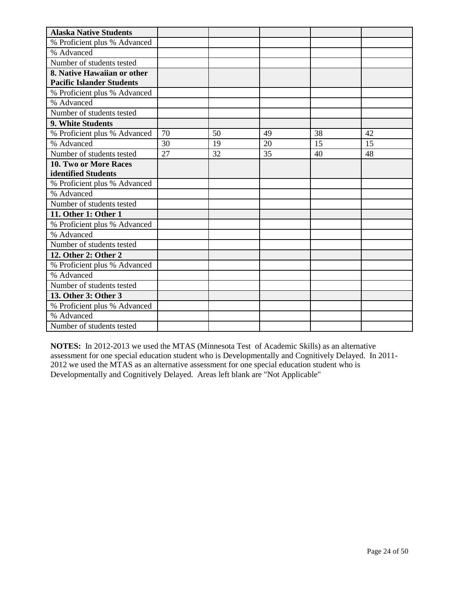| <b>Alaska Native Students</b>    |    |    |    |    |    |
|----------------------------------|----|----|----|----|----|
| % Proficient plus % Advanced     |    |    |    |    |    |
| % Advanced                       |    |    |    |    |    |
| Number of students tested        |    |    |    |    |    |
| 8. Native Hawaiian or other      |    |    |    |    |    |
| <b>Pacific Islander Students</b> |    |    |    |    |    |
| % Proficient plus % Advanced     |    |    |    |    |    |
| % Advanced                       |    |    |    |    |    |
| Number of students tested        |    |    |    |    |    |
| 9. White Students                |    |    |    |    |    |
| % Proficient plus % Advanced     | 70 | 50 | 49 | 38 | 42 |
| % Advanced                       | 30 | 19 | 20 | 15 | 15 |
| Number of students tested        | 27 | 32 | 35 | 40 | 48 |
| 10. Two or More Races            |    |    |    |    |    |
| identified Students              |    |    |    |    |    |
| % Proficient plus % Advanced     |    |    |    |    |    |
| % Advanced                       |    |    |    |    |    |
| Number of students tested        |    |    |    |    |    |
| 11. Other 1: Other 1             |    |    |    |    |    |
| % Proficient plus % Advanced     |    |    |    |    |    |
| % Advanced                       |    |    |    |    |    |
| Number of students tested        |    |    |    |    |    |
| 12. Other 2: Other 2             |    |    |    |    |    |
| % Proficient plus % Advanced     |    |    |    |    |    |
| % Advanced                       |    |    |    |    |    |
| Number of students tested        |    |    |    |    |    |
| 13. Other 3: Other 3             |    |    |    |    |    |
| % Proficient plus % Advanced     |    |    |    |    |    |
| % Advanced                       |    |    |    |    |    |
| Number of students tested        |    |    |    |    |    |

**NOTES:** In 2012-2013 we used the MTAS (Minnesota Test of Academic Skills) as an alternative assessment for one special education student who is Developmentally and Cognitively Delayed. In 2011- 2012 we used the MTAS as an alternative assessment for one special education student who is Developmentally and Cognitively Delayed. Areas left blank are "Not Applicable"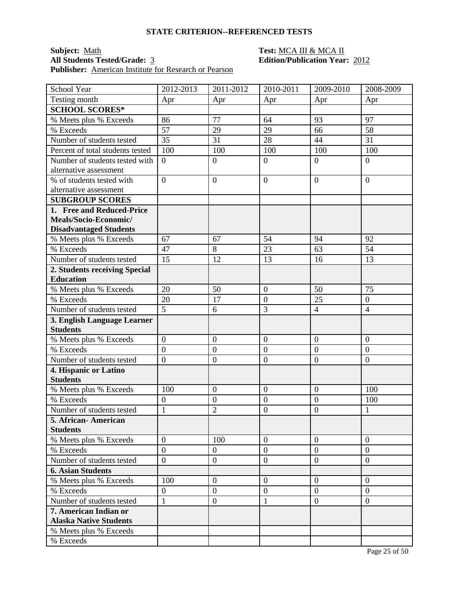### **Subject:** <u>Math **Test:** MCA III & MCA II</u><br> **All Students Tested/Grade:** 3 **Test: Edition/Publication Year:** 2012 **All Students Tested/Grade:** 3 **Edition/Publication Year:** 2012 **Publisher:** American Institute for Research or Pearson

| School Year                      | 2012-2013        | 2011-2012        | 2010-2011        | 2009-2010        | 2008-2009        |
|----------------------------------|------------------|------------------|------------------|------------------|------------------|
| Testing month                    | Apr              | Apr              | Apr              | Apr              | Apr              |
| <b>SCHOOL SCORES*</b>            |                  |                  |                  |                  |                  |
| % Meets plus % Exceeds           | 86               | 77               | 64               | 93               | 97               |
| % Exceeds                        | 57               | 29               | 29               | 66               | 58               |
| Number of students tested        | 35               | 31               | 28               | 44               | 31               |
| Percent of total students tested | 100              | 100              | 100              | 100              | 100              |
| Number of students tested with   | $\overline{0}$   | $\boldsymbol{0}$ | $\mathbf{0}$     | $\overline{0}$   | $\boldsymbol{0}$ |
| alternative assessment           |                  |                  |                  |                  |                  |
| % of students tested with        | $\overline{0}$   | $\overline{0}$   | $\overline{0}$   | $\overline{0}$   | $\overline{0}$   |
| alternative assessment           |                  |                  |                  |                  |                  |
| <b>SUBGROUP SCORES</b>           |                  |                  |                  |                  |                  |
| 1. Free and Reduced-Price        |                  |                  |                  |                  |                  |
| Meals/Socio-Economic/            |                  |                  |                  |                  |                  |
| <b>Disadvantaged Students</b>    |                  |                  |                  |                  |                  |
| % Meets plus % Exceeds           | 67               | 67               | 54               | 94               | 92               |
| % Exceeds                        | 47               | 8                | 23               | 63               | 54               |
| Number of students tested        | 15               | 12               | 13               | 16               | 13               |
| 2. Students receiving Special    |                  |                  |                  |                  |                  |
| <b>Education</b>                 |                  |                  |                  |                  |                  |
| % Meets plus % Exceeds           | 20               | 50               | $\overline{0}$   | 50               | 75               |
| % Exceeds                        | 20               | 17               | $\boldsymbol{0}$ | 25               | $\overline{0}$   |
| Number of students tested        | 5                | 6                | 3                | $\overline{4}$   | $\overline{4}$   |
| 3. English Language Learner      |                  |                  |                  |                  |                  |
| <b>Students</b>                  |                  |                  |                  |                  |                  |
| % Meets plus % Exceeds           | $\overline{0}$   | $\boldsymbol{0}$ | $\overline{0}$   | $\overline{0}$   | $\boldsymbol{0}$ |
| % Exceeds                        | $\overline{0}$   | $\boldsymbol{0}$ | $\overline{0}$   | $\overline{0}$   | $\overline{0}$   |
| Number of students tested        | $\overline{0}$   | $\boldsymbol{0}$ | $\boldsymbol{0}$ | $\boldsymbol{0}$ | $\boldsymbol{0}$ |
| 4. Hispanic or Latino            |                  |                  |                  |                  |                  |
| <b>Students</b>                  |                  |                  |                  |                  |                  |
| % Meets plus % Exceeds           | 100              | $\mathbf{0}$     | $\boldsymbol{0}$ | $\overline{0}$   | 100              |
| % Exceeds                        | $\overline{0}$   | $\boldsymbol{0}$ | $\overline{0}$   | $\overline{0}$   | 100              |
| Number of students tested        | $\mathbf{1}$     | $\overline{2}$   | $\overline{0}$   | $\overline{0}$   | 1                |
| 5. African- American             |                  |                  |                  |                  |                  |
| <b>Students</b>                  |                  |                  |                  |                  |                  |
| % Meets plus % Exceeds           | $\overline{0}$   | 100              | $\overline{0}$   | $\theta$         | $\overline{0}$   |
| % Exceeds                        | $\overline{0}$   | $\overline{0}$   | $\overline{0}$   | $\overline{0}$   | $\overline{0}$   |
| Number of students tested        | $\overline{0}$   | $\boldsymbol{0}$ | $\mathbf{0}$     | $\overline{0}$   | $\boldsymbol{0}$ |
| <b>6. Asian Students</b>         |                  |                  |                  |                  |                  |
| % Meets plus % Exceeds           | 100              | $\overline{0}$   | $\overline{0}$   | $\overline{0}$   | $\overline{0}$   |
| % Exceeds                        | $\boldsymbol{0}$ | $\boldsymbol{0}$ | $\boldsymbol{0}$ | $\boldsymbol{0}$ | $\overline{0}$   |
| Number of students tested        | $\mathbf{1}$     | $\boldsymbol{0}$ | $\mathbf{1}$     | $\overline{0}$   | $\boldsymbol{0}$ |
| 7. American Indian or            |                  |                  |                  |                  |                  |
| <b>Alaska Native Students</b>    |                  |                  |                  |                  |                  |
| % Meets plus % Exceeds           |                  |                  |                  |                  |                  |
| % Exceeds                        |                  |                  |                  |                  |                  |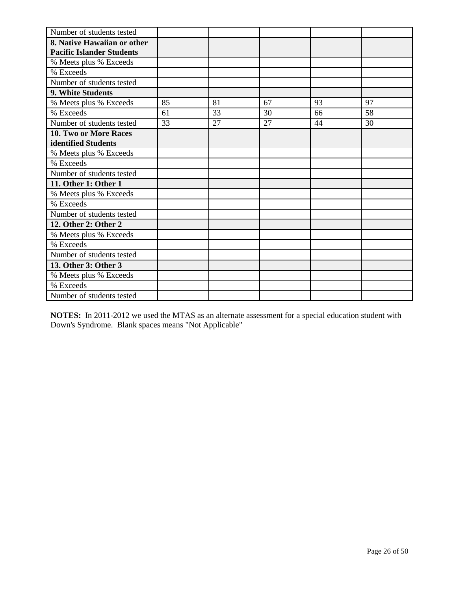| Number of students tested        |    |    |    |    |    |
|----------------------------------|----|----|----|----|----|
| 8. Native Hawaiian or other      |    |    |    |    |    |
| <b>Pacific Islander Students</b> |    |    |    |    |    |
| % Meets plus % Exceeds           |    |    |    |    |    |
| % Exceeds                        |    |    |    |    |    |
| Number of students tested        |    |    |    |    |    |
| 9. White Students                |    |    |    |    |    |
| % Meets plus % Exceeds           | 85 | 81 | 67 | 93 | 97 |
| % Exceeds                        | 61 | 33 | 30 | 66 | 58 |
| Number of students tested        | 33 | 27 | 27 | 44 | 30 |
| <b>10. Two or More Races</b>     |    |    |    |    |    |
| identified Students              |    |    |    |    |    |
| % Meets plus % Exceeds           |    |    |    |    |    |
| % Exceeds                        |    |    |    |    |    |
| Number of students tested        |    |    |    |    |    |
| 11. Other 1: Other 1             |    |    |    |    |    |
| % Meets plus % Exceeds           |    |    |    |    |    |
| % Exceeds                        |    |    |    |    |    |
| Number of students tested        |    |    |    |    |    |
| 12. Other 2: Other 2             |    |    |    |    |    |
| % Meets plus % Exceeds           |    |    |    |    |    |
| % Exceeds                        |    |    |    |    |    |
| Number of students tested        |    |    |    |    |    |
| 13. Other 3: Other 3             |    |    |    |    |    |
| % Meets plus % Exceeds           |    |    |    |    |    |
| % Exceeds                        |    |    |    |    |    |
| Number of students tested        |    |    |    |    |    |

**NOTES:** In 2011-2012 we used the MTAS as an alternate assessment for a special education student with Down's Syndrome. Blank spaces means "Not Applicable"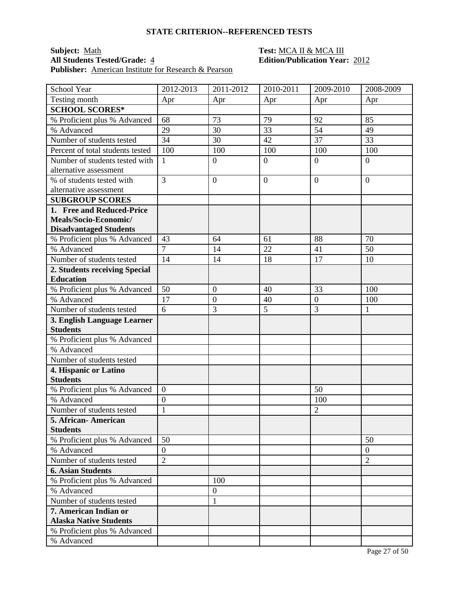### **Subject:** <u>Math **Test:** MCA II & MCA III</u><br> **All Students Tested/Grade:** 4 **Test: Edition/Publication Year Publisher:** American Institute for Research & Pearson

| School Year                                | 2012-2013                        | 2011-2012        | 2010-2011      | 2009-2010      | 2008-2009        |
|--------------------------------------------|----------------------------------|------------------|----------------|----------------|------------------|
| Testing month                              | Apr                              | Apr              | Apr            | Apr            | Apr              |
| <b>SCHOOL SCORES*</b>                      |                                  |                  |                |                |                  |
| % Proficient plus % Advanced               | 68                               | 73               | 79             | 92             | 85               |
| % Advanced                                 | 29                               | 30               | 33             | 54             | 49               |
| Number of students tested                  | 34                               | 30               | 42             | 37             | 33               |
| Percent of total students tested           | 100                              | 100              | 100            | 100            | 100              |
| Number of students tested with             | $\mathbf{1}$                     | $\boldsymbol{0}$ | $\overline{0}$ | $\overline{0}$ | $\boldsymbol{0}$ |
| alternative assessment                     |                                  |                  |                |                |                  |
| % of students tested with                  | $\overline{3}$                   | $\overline{0}$   | $\overline{0}$ | $\overline{0}$ | $\overline{0}$   |
| alternative assessment                     |                                  |                  |                |                |                  |
| <b>SUBGROUP SCORES</b>                     |                                  |                  |                |                |                  |
| 1. Free and Reduced-Price                  |                                  |                  |                |                |                  |
| Meals/Socio-Economic/                      |                                  |                  |                |                |                  |
| <b>Disadvantaged Students</b>              |                                  |                  |                |                |                  |
| % Proficient plus % Advanced               | 43                               | 64               | 61             | 88             | 70               |
| % Advanced                                 | $\overline{7}$                   | 14               | 22             | 41             | 50               |
| Number of students tested                  | 14                               | 14               | 18             | 17             | 10               |
| 2. Students receiving Special              |                                  |                  |                |                |                  |
| <b>Education</b>                           |                                  |                  |                |                |                  |
| % Proficient plus % Advanced               | 50                               | $\boldsymbol{0}$ | 40             | 33             | 100              |
| % Advanced                                 | 17                               | $\mathbf{0}$     | 40             | $\overline{0}$ | 100              |
| Number of students tested                  | 6                                | 3                | 5              | $\overline{3}$ | $\mathbf{1}$     |
| 3. English Language Learner                |                                  |                  |                |                |                  |
| <b>Students</b>                            |                                  |                  |                |                |                  |
| % Proficient plus % Advanced               |                                  |                  |                |                |                  |
| % Advanced                                 |                                  |                  |                |                |                  |
| Number of students tested                  |                                  |                  |                |                |                  |
| 4. Hispanic or Latino<br><b>Students</b>   |                                  |                  |                |                |                  |
|                                            | $\boldsymbol{0}$                 |                  |                | 50             |                  |
| % Proficient plus % Advanced<br>% Advanced |                                  |                  |                | 100            |                  |
|                                            | $\boldsymbol{0}$<br>$\mathbf{1}$ |                  |                |                |                  |
| Number of students tested                  |                                  |                  |                | $\sqrt{2}$     |                  |
| 5. African- American<br><b>Students</b>    |                                  |                  |                |                |                  |
| % Proficient plus % Advanced               | 50                               |                  |                |                | 50               |
| % Advanced                                 | $\overline{0}$                   |                  |                |                | $\boldsymbol{0}$ |
| Number of students tested                  | $\overline{2}$                   |                  |                |                | $\overline{2}$   |
| <b>6. Asian Students</b>                   |                                  |                  |                |                |                  |
| % Proficient plus % Advanced               |                                  | 100              |                |                |                  |
| % Advanced                                 |                                  | $\boldsymbol{0}$ |                |                |                  |
| Number of students tested                  |                                  | 1                |                |                |                  |
| 7. American Indian or                      |                                  |                  |                |                |                  |
| <b>Alaska Native Students</b>              |                                  |                  |                |                |                  |
| % Proficient plus % Advanced               |                                  |                  |                |                |                  |
| % Advanced                                 |                                  |                  |                |                |                  |
|                                            |                                  |                  |                |                |                  |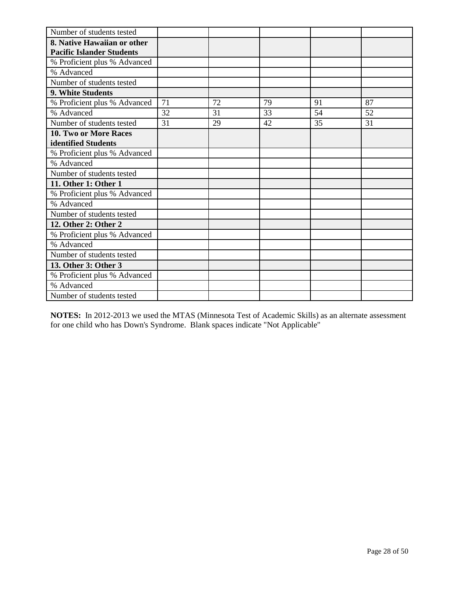| Number of students tested        |    |    |    |    |    |
|----------------------------------|----|----|----|----|----|
| 8. Native Hawaiian or other      |    |    |    |    |    |
| <b>Pacific Islander Students</b> |    |    |    |    |    |
| % Proficient plus % Advanced     |    |    |    |    |    |
| % Advanced                       |    |    |    |    |    |
| Number of students tested        |    |    |    |    |    |
| 9. White Students                |    |    |    |    |    |
| % Proficient plus % Advanced     | 71 | 72 | 79 | 91 | 87 |
| % Advanced                       | 32 | 31 | 33 | 54 | 52 |
| Number of students tested        | 31 | 29 | 42 | 35 | 31 |
| <b>10. Two or More Races</b>     |    |    |    |    |    |
| identified Students              |    |    |    |    |    |
| % Proficient plus % Advanced     |    |    |    |    |    |
| % Advanced                       |    |    |    |    |    |
| Number of students tested        |    |    |    |    |    |
| 11. Other 1: Other 1             |    |    |    |    |    |
| % Proficient plus % Advanced     |    |    |    |    |    |
| % Advanced                       |    |    |    |    |    |
| Number of students tested        |    |    |    |    |    |
| 12. Other 2: Other 2             |    |    |    |    |    |
| % Proficient plus % Advanced     |    |    |    |    |    |
| % Advanced                       |    |    |    |    |    |
| Number of students tested        |    |    |    |    |    |
| 13. Other 3: Other 3             |    |    |    |    |    |
| % Proficient plus % Advanced     |    |    |    |    |    |
| % Advanced                       |    |    |    |    |    |
| Number of students tested        |    |    |    |    |    |

**NOTES:** In 2012-2013 we used the MTAS (Minnesota Test of Academic Skills) as an alternate assessment for one child who has Down's Syndrome. Blank spaces indicate "Not Applicable"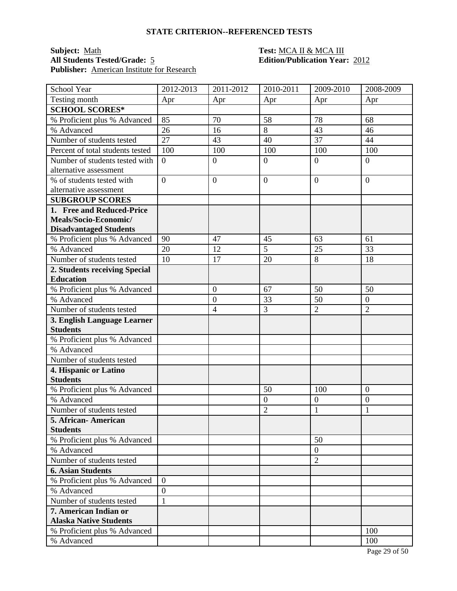### **Subject:** <u>Math **Test:** MCA II & MCA III</u><br> **All Students Tested/Grade:** 5 **Test: Edition/Publication Year:** 2012 **All Students Tested/Grade:** 5 **Edition/Publication Year:** 2012 **Publisher:** American Institute for Research

| School Year                                            | 2012-2013        | 2011-2012      | 2010-2011        | 2009-2010            | 2008-2009        |
|--------------------------------------------------------|------------------|----------------|------------------|----------------------|------------------|
| Testing month                                          | Apr              | Apr            | Apr              | Apr                  | Apr              |
| <b>SCHOOL SCORES*</b>                                  |                  |                |                  |                      |                  |
| % Proficient plus % Advanced                           | 85               | 70             | 58               | 78                   | 68               |
| % Advanced                                             | 26               | 16             | $8\,$            | 43                   | 46               |
| Number of students tested                              | 27               | 43             | 40               | 37                   | 44               |
| Percent of total students tested                       | 100              | 100            | 100              | 100                  | 100              |
| Number of students tested with                         | $\overline{0}$   | $\mathbf{0}$   | $\overline{0}$   | $\overline{0}$       | $\overline{0}$   |
| alternative assessment                                 |                  |                |                  |                      |                  |
| % of students tested with                              | $\overline{0}$   | $\overline{0}$ | $\overline{0}$   | $\overline{0}$       | $\overline{0}$   |
| alternative assessment                                 |                  |                |                  |                      |                  |
| <b>SUBGROUP SCORES</b>                                 |                  |                |                  |                      |                  |
| 1. Free and Reduced-Price                              |                  |                |                  |                      |                  |
| Meals/Socio-Economic/                                  |                  |                |                  |                      |                  |
| <b>Disadvantaged Students</b>                          |                  |                |                  |                      |                  |
| % Proficient plus % Advanced                           | 90               | 47             | 45               | 63                   | 61               |
| % Advanced                                             | 20               | 12             | $\overline{5}$   | 25                   | 33               |
| Number of students tested                              | 10               | 17             | 20               | 8                    | 18               |
| 2. Students receiving Special                          |                  |                |                  |                      |                  |
| <b>Education</b>                                       |                  |                |                  |                      |                  |
| % Proficient plus % Advanced                           |                  | $\overline{0}$ | 67               | 50                   | 50               |
| % Advanced                                             |                  | $\mathbf{0}$   | 33               | 50                   | $\boldsymbol{0}$ |
| Number of students tested                              |                  | $\overline{4}$ | 3                | $\overline{2}$       | $\overline{2}$   |
| 3. English Language Learner                            |                  |                |                  |                      |                  |
| <b>Students</b>                                        |                  |                |                  |                      |                  |
| % Proficient plus % Advanced                           |                  |                |                  |                      |                  |
| % Advanced                                             |                  |                |                  |                      |                  |
| Number of students tested                              |                  |                |                  |                      |                  |
| 4. Hispanic or Latino                                  |                  |                |                  |                      |                  |
| <b>Students</b>                                        |                  |                |                  |                      |                  |
| % Proficient plus % Advanced                           |                  |                | 50               | 100                  | $\boldsymbol{0}$ |
| % Advanced                                             |                  |                | $\boldsymbol{0}$ | $\boldsymbol{0}$     | $\boldsymbol{0}$ |
| Number of students tested                              |                  |                | $\overline{2}$   | $\mathbf{1}$         | 1                |
| 5. African-American                                    |                  |                |                  |                      |                  |
| <b>Students</b>                                        |                  |                |                  |                      |                  |
| % Proficient plus % Advanced<br>% Advanced             |                  |                |                  | 50<br>$\overline{0}$ |                  |
| Number of students tested                              |                  |                |                  |                      |                  |
|                                                        |                  |                |                  | $\overline{2}$       |                  |
| <b>6. Asian Students</b>                               |                  |                |                  |                      |                  |
| % Proficient plus % Advanced                           | $\mathbf{0}$     |                |                  |                      |                  |
| % Advanced                                             | $\boldsymbol{0}$ |                |                  |                      |                  |
| Number of students tested                              | $\mathbf{1}$     |                |                  |                      |                  |
| 7. American Indian or<br><b>Alaska Native Students</b> |                  |                |                  |                      |                  |
| % Proficient plus % Advanced                           |                  |                |                  |                      | 100              |
| % Advanced                                             |                  |                |                  |                      | 100              |
|                                                        |                  |                |                  |                      |                  |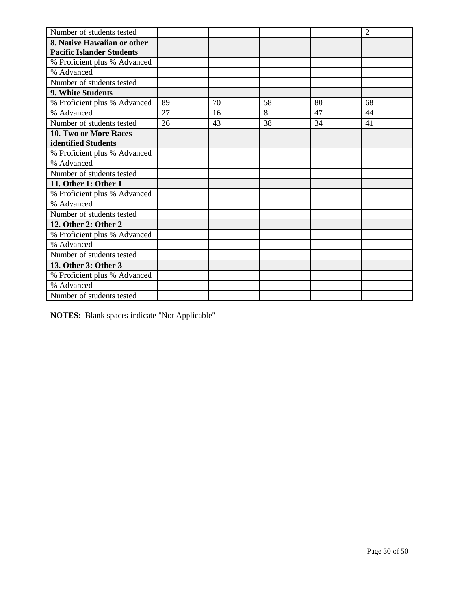| Number of students tested        |    |    |    |    | $\overline{2}$ |
|----------------------------------|----|----|----|----|----------------|
| 8. Native Hawaiian or other      |    |    |    |    |                |
| <b>Pacific Islander Students</b> |    |    |    |    |                |
| % Proficient plus % Advanced     |    |    |    |    |                |
| % Advanced                       |    |    |    |    |                |
| Number of students tested        |    |    |    |    |                |
| <b>9. White Students</b>         |    |    |    |    |                |
| % Proficient plus % Advanced     | 89 | 70 | 58 | 80 | 68             |
| % Advanced                       | 27 | 16 | 8  | 47 | 44             |
| Number of students tested        | 26 | 43 | 38 | 34 | 41             |
| <b>10. Two or More Races</b>     |    |    |    |    |                |
| identified Students              |    |    |    |    |                |
| % Proficient plus % Advanced     |    |    |    |    |                |
| % Advanced                       |    |    |    |    |                |
| Number of students tested        |    |    |    |    |                |
| 11. Other 1: Other 1             |    |    |    |    |                |
| % Proficient plus % Advanced     |    |    |    |    |                |
| % Advanced                       |    |    |    |    |                |
| Number of students tested        |    |    |    |    |                |
| 12. Other 2: Other 2             |    |    |    |    |                |
| % Proficient plus % Advanced     |    |    |    |    |                |
| % Advanced                       |    |    |    |    |                |
| Number of students tested        |    |    |    |    |                |
| 13. Other 3: Other 3             |    |    |    |    |                |
| % Proficient plus % Advanced     |    |    |    |    |                |
| % Advanced                       |    |    |    |    |                |
| Number of students tested        |    |    |    |    |                |

**NOTES:** Blank spaces indicate "Not Applicable"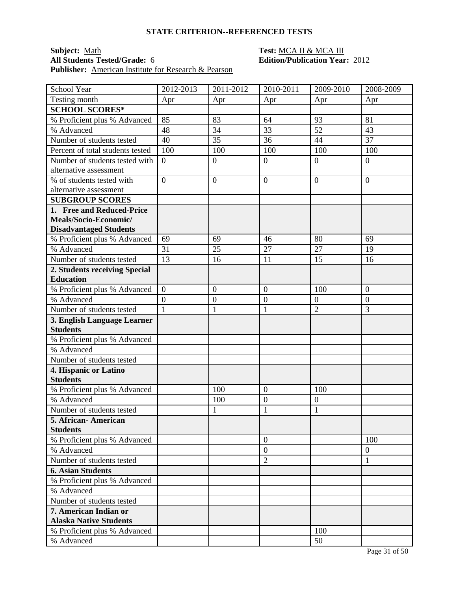### **Subject:** <u>Math **Test:** MCA II & MCA III</u><br> **All Students Tested/Grade:** 6 **Test: Edition/Publication Year:** 2012 **All Students Tested/Grade:** 6 **Edition/Publication Year:** 2012 **Publisher:** American Institute for Research & Pearson

| School Year                      | 2012-2013      | 2011-2012        | 2010-2011        | 2009-2010      | 2008-2009        |
|----------------------------------|----------------|------------------|------------------|----------------|------------------|
| Testing month                    | Apr            | Apr              | Apr              | Apr            | Apr              |
| <b>SCHOOL SCORES*</b>            |                |                  |                  |                |                  |
| % Proficient plus % Advanced     | 85             | 83               | 64               | 93             | 81               |
| % Advanced                       | 48             | 34               | 33               | 52             | 43               |
| Number of students tested        | 40             | 35               | 36               | 44             | 37               |
| Percent of total students tested | 100            | 100              | 100              | 100            | 100              |
| Number of students tested with   | $\overline{0}$ | $\boldsymbol{0}$ | $\overline{0}$   | $\overline{0}$ | $\overline{0}$   |
| alternative assessment           |                |                  |                  |                |                  |
| % of students tested with        | $\overline{0}$ | $\overline{0}$   | $\overline{0}$   | $\theta$       | $\overline{0}$   |
| alternative assessment           |                |                  |                  |                |                  |
| <b>SUBGROUP SCORES</b>           |                |                  |                  |                |                  |
| 1. Free and Reduced-Price        |                |                  |                  |                |                  |
| Meals/Socio-Economic/            |                |                  |                  |                |                  |
| <b>Disadvantaged Students</b>    |                |                  |                  |                |                  |
| % Proficient plus % Advanced     | 69             | 69               | 46               | 80             | 69               |
| % Advanced                       | 31             | 25               | 27               | 27             | 19               |
| Number of students tested        | 13             | 16               | 11               | 15             | 16               |
| 2. Students receiving Special    |                |                  |                  |                |                  |
| <b>Education</b>                 |                |                  |                  |                |                  |
| % Proficient plus % Advanced     | $\overline{0}$ | $\mathbf{0}$     | $\mathbf{0}$     | 100            | $\overline{0}$   |
| % Advanced                       | $\overline{0}$ | $\boldsymbol{0}$ | $\boldsymbol{0}$ | $\overline{0}$ | $\mathbf{0}$     |
| Number of students tested        | $\mathbf{1}$   | $\mathbf{1}$     | $\mathbf{1}$     | $\overline{2}$ | 3                |
| 3. English Language Learner      |                |                  |                  |                |                  |
| <b>Students</b>                  |                |                  |                  |                |                  |
| % Proficient plus % Advanced     |                |                  |                  |                |                  |
| % Advanced                       |                |                  |                  |                |                  |
| Number of students tested        |                |                  |                  |                |                  |
| 4. Hispanic or Latino            |                |                  |                  |                |                  |
| <b>Students</b>                  |                |                  |                  |                |                  |
| % Proficient plus % Advanced     |                | 100              | $\mathbf{0}$     | 100            |                  |
| % Advanced                       |                | 100              | $\mathbf{0}$     | $\overline{0}$ |                  |
| Number of students tested        |                | 1                | $\mathbf{1}$     | $\mathbf{1}$   |                  |
| 5. African- American             |                |                  |                  |                |                  |
| <b>Students</b>                  |                |                  |                  |                |                  |
| % Proficient plus % Advanced     |                |                  | $\overline{0}$   |                | 100              |
| % Advanced                       |                |                  | $\overline{0}$   |                | $\boldsymbol{0}$ |
| Number of students tested        |                |                  | $\overline{2}$   |                | 1                |
| <b>6. Asian Students</b>         |                |                  |                  |                |                  |
| % Proficient plus % Advanced     |                |                  |                  |                |                  |
| % Advanced                       |                |                  |                  |                |                  |
| Number of students tested        |                |                  |                  |                |                  |
| 7. American Indian or            |                |                  |                  |                |                  |
| <b>Alaska Native Students</b>    |                |                  |                  |                |                  |
| % Proficient plus % Advanced     |                |                  |                  | 100            |                  |
| % Advanced                       |                |                  |                  | 50             |                  |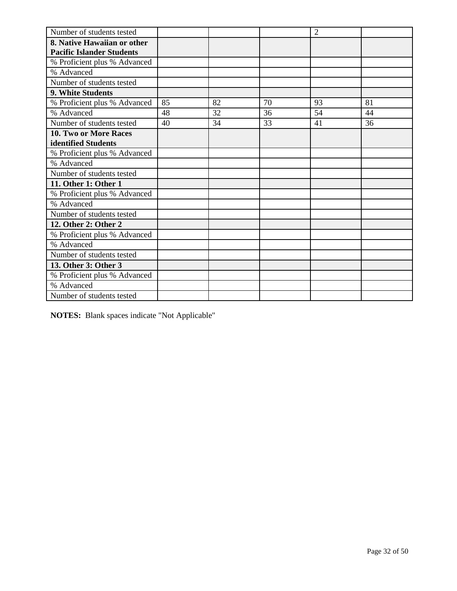| Number of students tested        |    |    |    | $\overline{2}$ |    |
|----------------------------------|----|----|----|----------------|----|
| 8. Native Hawaiian or other      |    |    |    |                |    |
| <b>Pacific Islander Students</b> |    |    |    |                |    |
| % Proficient plus % Advanced     |    |    |    |                |    |
| % Advanced                       |    |    |    |                |    |
| Number of students tested        |    |    |    |                |    |
| 9. White Students                |    |    |    |                |    |
| % Proficient plus % Advanced     | 85 | 82 | 70 | 93             | 81 |
| % Advanced                       | 48 | 32 | 36 | 54             | 44 |
| Number of students tested        | 40 | 34 | 33 | 41             | 36 |
| 10. Two or More Races            |    |    |    |                |    |
| identified Students              |    |    |    |                |    |
| % Proficient plus % Advanced     |    |    |    |                |    |
| % Advanced                       |    |    |    |                |    |
| Number of students tested        |    |    |    |                |    |
| 11. Other 1: Other 1             |    |    |    |                |    |
| % Proficient plus % Advanced     |    |    |    |                |    |
| % Advanced                       |    |    |    |                |    |
| Number of students tested        |    |    |    |                |    |
| 12. Other 2: Other 2             |    |    |    |                |    |
| % Proficient plus % Advanced     |    |    |    |                |    |
| % Advanced                       |    |    |    |                |    |
| Number of students tested        |    |    |    |                |    |
| 13. Other 3: Other 3             |    |    |    |                |    |
| % Proficient plus % Advanced     |    |    |    |                |    |
| % Advanced                       |    |    |    |                |    |
| Number of students tested        |    |    |    |                |    |

**NOTES:** Blank spaces indicate "Not Applicable"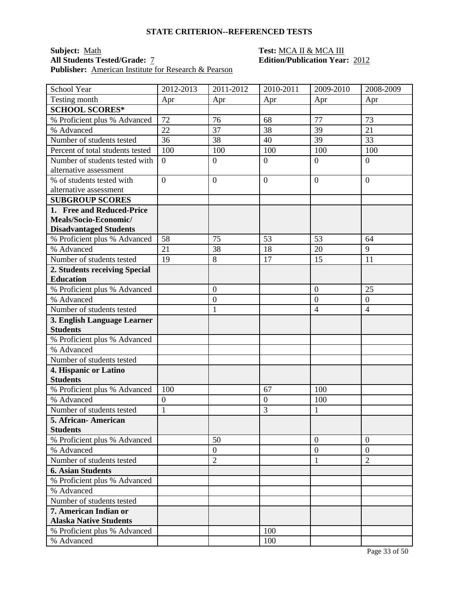### **Subject:** <u>Math **Test:** MCA II & MCA III</u><br> **All Students Tested/Grade:** <u>7</u> **Test: Edition/Publication Year** Publisher: **American Institute for Research & Pearson**

| School Year                      | 2012-2013        | 2011-2012        | 2010-2011      | 2009-2010        | 2008-2009        |
|----------------------------------|------------------|------------------|----------------|------------------|------------------|
| Testing month                    | Apr              | Apr              | Apr            | Apr              | Apr              |
| <b>SCHOOL SCORES*</b>            |                  |                  |                |                  |                  |
| % Proficient plus % Advanced     | 72               | 76               | 68             | 77               | 73               |
| % Advanced                       | 22               | 37               | 38             | 39               | 21               |
| Number of students tested        | 36               | 38               | 40             | 39               | 33               |
| Percent of total students tested | 100              | 100              | 100            | 100              | 100              |
| Number of students tested with   | $\overline{0}$   | $\boldsymbol{0}$ | $\mathbf{0}$   | $\overline{0}$   | $\boldsymbol{0}$ |
| alternative assessment           |                  |                  |                |                  |                  |
| % of students tested with        | $\overline{0}$   | $\overline{0}$   | $\overline{0}$ | $\overline{0}$   | $\overline{0}$   |
| alternative assessment           |                  |                  |                |                  |                  |
| <b>SUBGROUP SCORES</b>           |                  |                  |                |                  |                  |
| 1. Free and Reduced-Price        |                  |                  |                |                  |                  |
| Meals/Socio-Economic/            |                  |                  |                |                  |                  |
| <b>Disadvantaged Students</b>    |                  |                  |                |                  |                  |
| % Proficient plus % Advanced     | 58               | 75               | 53             | 53               | 64               |
| % Advanced                       | 21               | 38               | 18             | 20               | $\overline{9}$   |
| Number of students tested        | 19               | 8                | 17             | 15               | 11               |
| 2. Students receiving Special    |                  |                  |                |                  |                  |
| <b>Education</b>                 |                  |                  |                |                  |                  |
| % Proficient plus % Advanced     |                  | $\boldsymbol{0}$ |                | $\boldsymbol{0}$ | 25               |
| % Advanced                       |                  | $\boldsymbol{0}$ |                | $\overline{0}$   | $\boldsymbol{0}$ |
| Number of students tested        |                  | $\mathbf{1}$     |                | $\overline{4}$   | $\overline{4}$   |
| 3. English Language Learner      |                  |                  |                |                  |                  |
| <b>Students</b>                  |                  |                  |                |                  |                  |
| % Proficient plus % Advanced     |                  |                  |                |                  |                  |
| % Advanced                       |                  |                  |                |                  |                  |
| Number of students tested        |                  |                  |                |                  |                  |
| 4. Hispanic or Latino            |                  |                  |                |                  |                  |
| <b>Students</b>                  |                  |                  |                |                  |                  |
| % Proficient plus % Advanced     | 100              |                  | 67             | 100              |                  |
| % Advanced                       | $\boldsymbol{0}$ |                  | $\overline{0}$ | 100              |                  |
| Number of students tested        | $\mathbf{1}$     |                  | 3              | $\mathbf{1}$     |                  |
| 5. African- American             |                  |                  |                |                  |                  |
| <b>Students</b>                  |                  |                  |                |                  |                  |
| % Proficient plus % Advanced     |                  | 50               |                | $\overline{0}$   | $\overline{0}$   |
| % Advanced                       |                  | $\overline{0}$   |                | $\boldsymbol{0}$ | $\overline{0}$   |
| Number of students tested        |                  | $\overline{2}$   |                | 1                | $\overline{2}$   |
| <b>6. Asian Students</b>         |                  |                  |                |                  |                  |
| % Proficient plus % Advanced     |                  |                  |                |                  |                  |
| % Advanced                       |                  |                  |                |                  |                  |
| Number of students tested        |                  |                  |                |                  |                  |
| 7. American Indian or            |                  |                  |                |                  |                  |
| <b>Alaska Native Students</b>    |                  |                  |                |                  |                  |
| % Proficient plus % Advanced     |                  |                  | 100            |                  |                  |
| % Advanced                       |                  |                  | 100            |                  |                  |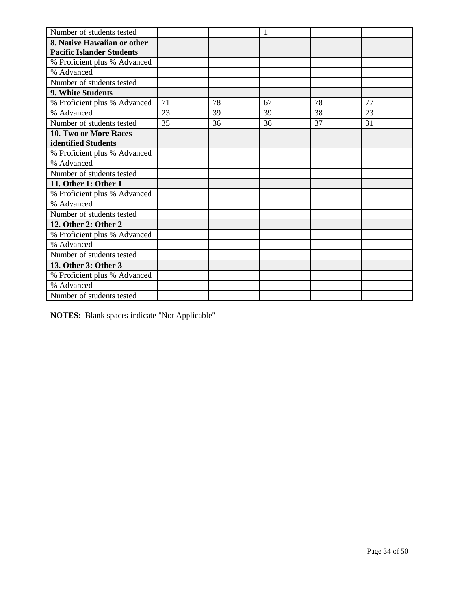| Number of students tested        |    |    | 1  |    |    |
|----------------------------------|----|----|----|----|----|
| 8. Native Hawaiian or other      |    |    |    |    |    |
| <b>Pacific Islander Students</b> |    |    |    |    |    |
| % Proficient plus % Advanced     |    |    |    |    |    |
| % Advanced                       |    |    |    |    |    |
| Number of students tested        |    |    |    |    |    |
| 9. White Students                |    |    |    |    |    |
| % Proficient plus % Advanced     | 71 | 78 | 67 | 78 | 77 |
| % Advanced                       | 23 | 39 | 39 | 38 | 23 |
| Number of students tested        | 35 | 36 | 36 | 37 | 31 |
| <b>10. Two or More Races</b>     |    |    |    |    |    |
| identified Students              |    |    |    |    |    |
| % Proficient plus % Advanced     |    |    |    |    |    |
| % Advanced                       |    |    |    |    |    |
| Number of students tested        |    |    |    |    |    |
| 11. Other 1: Other 1             |    |    |    |    |    |
| % Proficient plus % Advanced     |    |    |    |    |    |
| % Advanced                       |    |    |    |    |    |
| Number of students tested        |    |    |    |    |    |
| 12. Other 2: Other 2             |    |    |    |    |    |
| % Proficient plus % Advanced     |    |    |    |    |    |
| % Advanced                       |    |    |    |    |    |
| Number of students tested        |    |    |    |    |    |
| 13. Other 3: Other 3             |    |    |    |    |    |
| % Proficient plus % Advanced     |    |    |    |    |    |
| % Advanced                       |    |    |    |    |    |
| Number of students tested        |    |    |    |    |    |

**NOTES:** Blank spaces indicate "Not Applicable"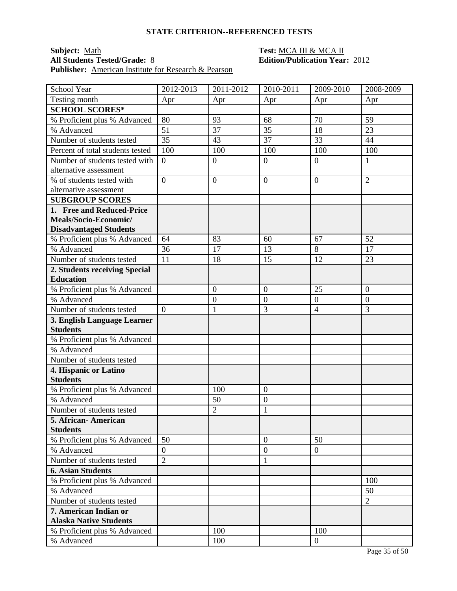### **Subject:** <u>Math **Test:** MCA III & MCA II</u><br> **All Students Tested/Grade:** <u>8</u> **Test: Edition/Publication Year** Publisher: <u>American Institute for Research & Pearson</u>

| School Year                      | 2012-2013      | 2011-2012        | 2010-2011      | 2009-2010      | 2008-2009      |
|----------------------------------|----------------|------------------|----------------|----------------|----------------|
| Testing month                    | Apr            | Apr              | Apr            | Apr            | Apr            |
| <b>SCHOOL SCORES*</b>            |                |                  |                |                |                |
| % Proficient plus % Advanced     | 80             | 93               | 68             | 70             | 59             |
| % Advanced                       | 51             | 37               | 35             | 18             | 23             |
| Number of students tested        | 35             | 43               | 37             | 33             | 44             |
| Percent of total students tested | 100            | 100              | 100            | 100            | 100            |
| Number of students tested with   | $\overline{0}$ | $\boldsymbol{0}$ | $\mathbf{0}$   | $\overline{0}$ | 1              |
| alternative assessment           |                |                  |                |                |                |
| % of students tested with        | $\overline{0}$ | $\overline{0}$   | $\overline{0}$ | $\overline{0}$ | $\overline{2}$ |
| alternative assessment           |                |                  |                |                |                |
| <b>SUBGROUP SCORES</b>           |                |                  |                |                |                |
| 1. Free and Reduced-Price        |                |                  |                |                |                |
| Meals/Socio-Economic/            |                |                  |                |                |                |
| <b>Disadvantaged Students</b>    |                |                  |                |                |                |
| % Proficient plus % Advanced     | 64             | 83               | 60             | 67             | 52             |
| % Advanced                       | 36             | 17               | 13             | 8              | 17             |
| Number of students tested        | 11             | 18               | 15             | 12             | 23             |
| 2. Students receiving Special    |                |                  |                |                |                |
| <b>Education</b>                 |                |                  |                |                |                |
| % Proficient plus % Advanced     |                | $\overline{0}$   | $\overline{0}$ | 25             | $\overline{0}$ |
| % Advanced                       |                | $\boldsymbol{0}$ | $\overline{0}$ | $\overline{0}$ | $\mathbf{0}$   |
| Number of students tested        | $\theta$       | $\mathbf{1}$     | 3              | $\overline{4}$ | 3              |
| 3. English Language Learner      |                |                  |                |                |                |
| <b>Students</b>                  |                |                  |                |                |                |
| % Proficient plus % Advanced     |                |                  |                |                |                |
| % Advanced                       |                |                  |                |                |                |
| Number of students tested        |                |                  |                |                |                |
| 4. Hispanic or Latino            |                |                  |                |                |                |
| <b>Students</b>                  |                |                  |                |                |                |
| % Proficient plus % Advanced     |                | 100              | $\overline{0}$ |                |                |
| % Advanced                       |                | 50               | $\overline{0}$ |                |                |
| Number of students tested        |                | $\overline{2}$   | $\mathbf{1}$   |                |                |
| 5. African-American              |                |                  |                |                |                |
| <b>Students</b>                  |                |                  |                |                |                |
| % Proficient plus % Advanced     | 50             |                  | $\mathbf{0}$   | 50             |                |
| % Advanced                       | $\overline{0}$ |                  | $\overline{0}$ | $\overline{0}$ |                |
| Number of students tested        | $\overline{2}$ |                  | $\mathbf{1}$   |                |                |
| <b>6. Asian Students</b>         |                |                  |                |                |                |
| % Proficient plus % Advanced     |                |                  |                |                | 100            |
| % Advanced                       |                |                  |                |                | 50             |
| Number of students tested        |                |                  |                |                | $\overline{2}$ |
| 7. American Indian or            |                |                  |                |                |                |
| <b>Alaska Native Students</b>    |                |                  |                |                |                |
| % Proficient plus % Advanced     |                | 100              |                | 100            |                |
| % Advanced                       |                | 100              |                | $\mathbf{0}$   |                |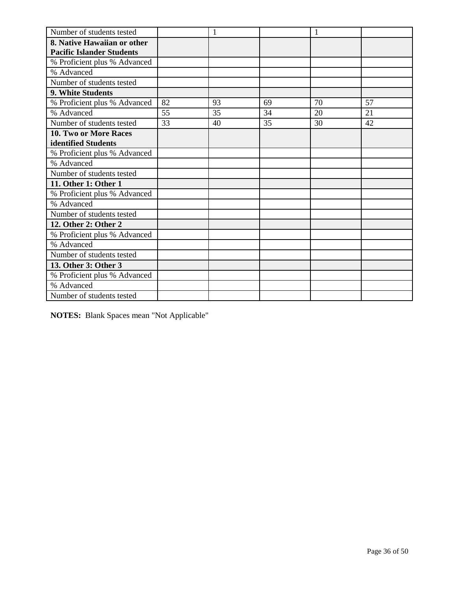| Number of students tested        |    | 1  |    |    |    |
|----------------------------------|----|----|----|----|----|
| 8. Native Hawaiian or other      |    |    |    |    |    |
| <b>Pacific Islander Students</b> |    |    |    |    |    |
| % Proficient plus % Advanced     |    |    |    |    |    |
| % Advanced                       |    |    |    |    |    |
| Number of students tested        |    |    |    |    |    |
| 9. White Students                |    |    |    |    |    |
| % Proficient plus % Advanced     | 82 | 93 | 69 | 70 | 57 |
| % Advanced                       | 55 | 35 | 34 | 20 | 21 |
| Number of students tested        | 33 | 40 | 35 | 30 | 42 |
| <b>10. Two or More Races</b>     |    |    |    |    |    |
| identified Students              |    |    |    |    |    |
| % Proficient plus % Advanced     |    |    |    |    |    |
| % Advanced                       |    |    |    |    |    |
| Number of students tested        |    |    |    |    |    |
| 11. Other 1: Other 1             |    |    |    |    |    |
| % Proficient plus % Advanced     |    |    |    |    |    |
| % Advanced                       |    |    |    |    |    |
| Number of students tested        |    |    |    |    |    |
| 12. Other 2: Other 2             |    |    |    |    |    |
| % Proficient plus % Advanced     |    |    |    |    |    |
| % Advanced                       |    |    |    |    |    |
| Number of students tested        |    |    |    |    |    |
| 13. Other 3: Other 3             |    |    |    |    |    |
| % Proficient plus % Advanced     |    |    |    |    |    |
| % Advanced                       |    |    |    |    |    |
| Number of students tested        |    |    |    |    |    |

**NOTES:** Blank Spaces mean "Not Applicable"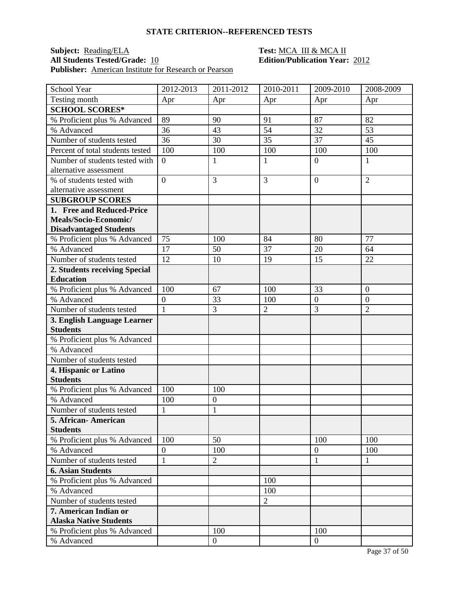### **Subject:** <u>Reading/ELA</u> **Test:** <u>MCA III & MCA II</u><br> **All Students Tested/Grade:** 10 **Test: MCA III & MCA II Publisher:** American Institute for Research or Pearson

| School Year                      | 2012-2013        | 2011-2012        | 2010-2011      | 2009-2010        | 2008-2009      |
|----------------------------------|------------------|------------------|----------------|------------------|----------------|
| Testing month                    | Apr              | Apr              | Apr            | Apr              | Apr            |
| <b>SCHOOL SCORES*</b>            |                  |                  |                |                  |                |
| % Proficient plus % Advanced     | 89               | 90               | 91             | 87               | 82             |
| % Advanced                       | 36               | 43               | 54             | 32               | 53             |
| Number of students tested        | 36               | 30               | 35             | 37               | 45             |
| Percent of total students tested | 100              | 100              | 100            | 100              | 100            |
| Number of students tested with   | $\overline{0}$   | $\mathbf{1}$     | $\mathbf{1}$   | $\overline{0}$   | 1              |
| alternative assessment           |                  |                  |                |                  |                |
| % of students tested with        | $\overline{0}$   | 3                | $\overline{3}$ | $\overline{0}$   | $\overline{2}$ |
| alternative assessment           |                  |                  |                |                  |                |
| <b>SUBGROUP SCORES</b>           |                  |                  |                |                  |                |
| 1. Free and Reduced-Price        |                  |                  |                |                  |                |
| Meals/Socio-Economic/            |                  |                  |                |                  |                |
| <b>Disadvantaged Students</b>    |                  |                  |                |                  |                |
| % Proficient plus % Advanced     | 75               | 100              | 84             | 80               | 77             |
| % Advanced                       | 17               | 50               | 37             | 20               | 64             |
| Number of students tested        | 12               | 10               | 19             | 15               | 22             |
| 2. Students receiving Special    |                  |                  |                |                  |                |
| <b>Education</b>                 |                  |                  |                |                  |                |
| % Proficient plus % Advanced     | 100              | 67               | 100            | 33               | $\overline{0}$ |
| % Advanced                       | $\boldsymbol{0}$ | 33               | 100            | $\overline{0}$   | $\mathbf{0}$   |
| Number of students tested        | $\mathbf{1}$     | 3                | $\overline{2}$ | 3                | $\overline{2}$ |
| 3. English Language Learner      |                  |                  |                |                  |                |
| <b>Students</b>                  |                  |                  |                |                  |                |
| % Proficient plus % Advanced     |                  |                  |                |                  |                |
| % Advanced                       |                  |                  |                |                  |                |
| Number of students tested        |                  |                  |                |                  |                |
| 4. Hispanic or Latino            |                  |                  |                |                  |                |
| <b>Students</b>                  |                  |                  |                |                  |                |
| % Proficient plus % Advanced     | 100              | 100              |                |                  |                |
| % Advanced                       | 100              | $\boldsymbol{0}$ |                |                  |                |
| Number of students tested        | $\mathbf{1}$     | $\mathbf{1}$     |                |                  |                |
| 5. African-American              |                  |                  |                |                  |                |
| <b>Students</b>                  |                  |                  |                |                  |                |
| % Proficient plus % Advanced     | 100              | 50               |                | 100              | 100            |
| % Advanced                       | $\boldsymbol{0}$ | 100              |                | $\boldsymbol{0}$ | 100            |
| Number of students tested        | $\mathbf{1}$     | $\overline{c}$   |                | 1                | 1              |
| <b>6. Asian Students</b>         |                  |                  |                |                  |                |
| % Proficient plus % Advanced     |                  |                  | 100            |                  |                |
| % Advanced                       |                  |                  | 100            |                  |                |
| Number of students tested        |                  |                  | $\overline{2}$ |                  |                |
| 7. American Indian or            |                  |                  |                |                  |                |
| <b>Alaska Native Students</b>    |                  |                  |                |                  |                |
| % Proficient plus % Advanced     |                  | 100              |                | 100              |                |
| % Advanced                       |                  | $\boldsymbol{0}$ |                | $\overline{0}$   |                |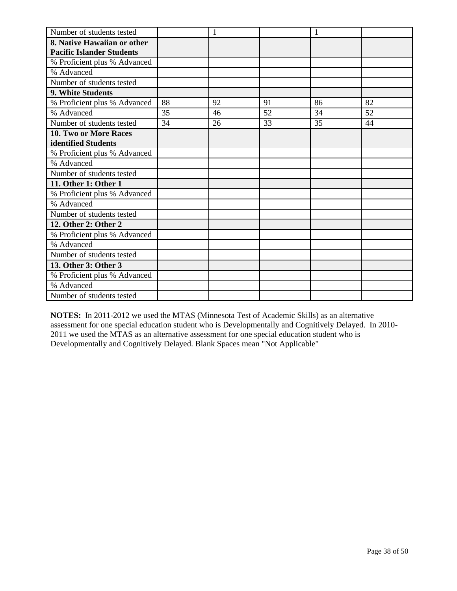| Number of students tested        |    | 1  |    |    |    |
|----------------------------------|----|----|----|----|----|
| 8. Native Hawaiian or other      |    |    |    |    |    |
| <b>Pacific Islander Students</b> |    |    |    |    |    |
| % Proficient plus % Advanced     |    |    |    |    |    |
| % Advanced                       |    |    |    |    |    |
| Number of students tested        |    |    |    |    |    |
| 9. White Students                |    |    |    |    |    |
| % Proficient plus % Advanced     | 88 | 92 | 91 | 86 | 82 |
| % Advanced                       | 35 | 46 | 52 | 34 | 52 |
| Number of students tested        | 34 | 26 | 33 | 35 | 44 |
| 10. Two or More Races            |    |    |    |    |    |
| identified Students              |    |    |    |    |    |
| % Proficient plus % Advanced     |    |    |    |    |    |
| % Advanced                       |    |    |    |    |    |
| Number of students tested        |    |    |    |    |    |
| 11. Other 1: Other 1             |    |    |    |    |    |
| % Proficient plus % Advanced     |    |    |    |    |    |
| % Advanced                       |    |    |    |    |    |
| Number of students tested        |    |    |    |    |    |
| 12. Other 2: Other 2             |    |    |    |    |    |
| % Proficient plus % Advanced     |    |    |    |    |    |
| % Advanced                       |    |    |    |    |    |
| Number of students tested        |    |    |    |    |    |
| 13. Other 3: Other 3             |    |    |    |    |    |
| % Proficient plus % Advanced     |    |    |    |    |    |
| % Advanced                       |    |    |    |    |    |
| Number of students tested        |    |    |    |    |    |

**NOTES:** In 2011-2012 we used the MTAS (Minnesota Test of Academic Skills) as an alternative assessment for one special education student who is Developmentally and Cognitively Delayed. In 2010- 2011 we used the MTAS as an alternative assessment for one special education student who is Developmentally and Cognitively Delayed. Blank Spaces mean "Not Applicable"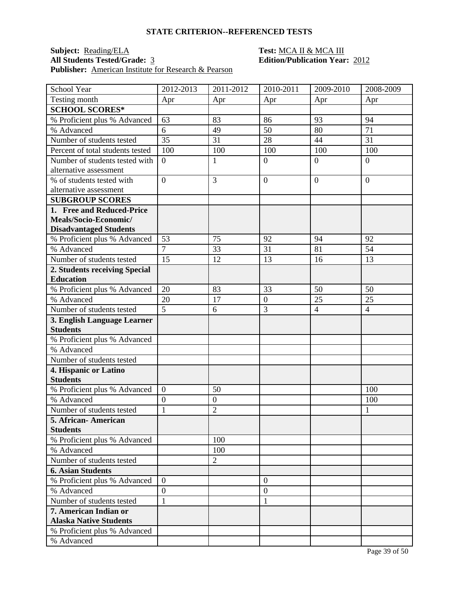## **Subject:** <u>Reading/ELA</u> **Test: MCA II & MCA III**<br> **All Students Tested/Grade:** 3 **Edition/Publication Year** Publisher: **American Institute for Research & Pearson**

| School Year                              | 2012-2013                        | 2011-2012                          | 2010-2011        | 2009-2010      | 2008-2009      |
|------------------------------------------|----------------------------------|------------------------------------|------------------|----------------|----------------|
| Testing month                            | Apr                              | Apr                                | Apr              | Apr            | Apr            |
| <b>SCHOOL SCORES*</b>                    |                                  |                                    |                  |                |                |
| % Proficient plus % Advanced             | 63                               | 83                                 | 86               | 93             | 94             |
| % Advanced                               | 6                                | 49                                 | 50               | 80             | 71             |
| Number of students tested                | 35                               | 31                                 | 28               | 44             | 31             |
| Percent of total students tested         | 100                              | 100                                | 100              | 100            | 100            |
| Number of students tested with           | $\overline{0}$                   | 1                                  | $\mathbf{0}$     | $\overline{0}$ | $\overline{0}$ |
| alternative assessment                   |                                  |                                    |                  |                |                |
| % of students tested with                | $\overline{0}$                   | 3                                  | $\overline{0}$   | $\overline{0}$ | $\overline{0}$ |
| alternative assessment                   |                                  |                                    |                  |                |                |
| <b>SUBGROUP SCORES</b>                   |                                  |                                    |                  |                |                |
| 1. Free and Reduced-Price                |                                  |                                    |                  |                |                |
| Meals/Socio-Economic/                    |                                  |                                    |                  |                |                |
| <b>Disadvantaged Students</b>            |                                  |                                    |                  |                |                |
| % Proficient plus % Advanced             | 53                               | 75                                 | 92               | 94             | 92             |
| % Advanced                               | $\overline{7}$                   | 33                                 | 31               | 81             | 54             |
| Number of students tested                | 15                               | 12                                 | 13               | 16             | 13             |
| 2. Students receiving Special            |                                  |                                    |                  |                |                |
| <b>Education</b>                         |                                  |                                    |                  |                |                |
| % Proficient plus % Advanced             | 20                               | 83                                 | 33               | 50             | 50             |
| % Advanced                               | 20                               | 17                                 | $\mathbf{0}$     | 25             | 25             |
| Number of students tested                | 5                                | 6                                  | 3                | $\overline{4}$ | $\overline{4}$ |
| 3. English Language Learner              |                                  |                                    |                  |                |                |
| <b>Students</b>                          |                                  |                                    |                  |                |                |
| % Proficient plus % Advanced             |                                  |                                    |                  |                |                |
| % Advanced                               |                                  |                                    |                  |                |                |
| Number of students tested                |                                  |                                    |                  |                |                |
| 4. Hispanic or Latino<br><b>Students</b> |                                  |                                    |                  |                |                |
|                                          |                                  |                                    |                  |                |                |
| % Proficient plus % Advanced             | $\boldsymbol{0}$                 | 50                                 |                  |                | 100            |
| % Advanced<br>Number of students tested  | $\boldsymbol{0}$<br>$\mathbf{1}$ | $\boldsymbol{0}$<br>$\overline{2}$ |                  |                | 100            |
| 5. African- American                     |                                  |                                    |                  |                | 1              |
| <b>Students</b>                          |                                  |                                    |                  |                |                |
| % Proficient plus % Advanced             |                                  | 100                                |                  |                |                |
| % Advanced                               |                                  | 100                                |                  |                |                |
| Number of students tested                |                                  | $\overline{c}$                     |                  |                |                |
| <b>6. Asian Students</b>                 |                                  |                                    |                  |                |                |
| % Proficient plus % Advanced             | $\overline{0}$                   |                                    | $\overline{0}$   |                |                |
| % Advanced                               | $\overline{0}$                   |                                    | $\boldsymbol{0}$ |                |                |
| Number of students tested                | $\mathbf{1}$                     |                                    | $\mathbf{1}$     |                |                |
| 7. American Indian or                    |                                  |                                    |                  |                |                |
| <b>Alaska Native Students</b>            |                                  |                                    |                  |                |                |
| % Proficient plus % Advanced             |                                  |                                    |                  |                |                |
| % Advanced                               |                                  |                                    |                  |                |                |
|                                          |                                  |                                    |                  |                |                |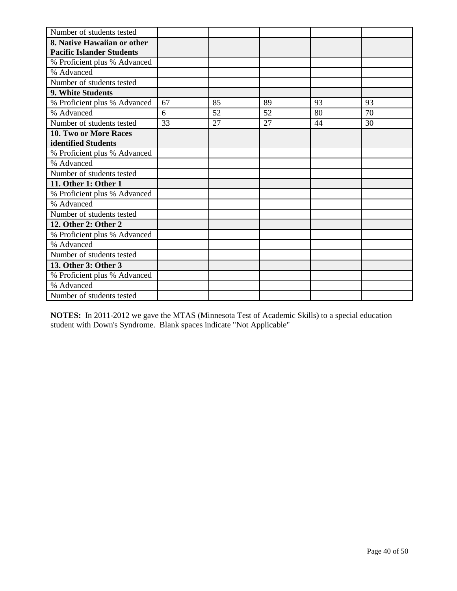| Number of students tested        |    |    |    |    |    |
|----------------------------------|----|----|----|----|----|
| 8. Native Hawaiian or other      |    |    |    |    |    |
| <b>Pacific Islander Students</b> |    |    |    |    |    |
| % Proficient plus % Advanced     |    |    |    |    |    |
| % Advanced                       |    |    |    |    |    |
| Number of students tested        |    |    |    |    |    |
| 9. White Students                |    |    |    |    |    |
| % Proficient plus % Advanced     | 67 | 85 | 89 | 93 | 93 |
| % Advanced                       | 6  | 52 | 52 | 80 | 70 |
| Number of students tested        | 33 | 27 | 27 | 44 | 30 |
| <b>10. Two or More Races</b>     |    |    |    |    |    |
| identified Students              |    |    |    |    |    |
| % Proficient plus % Advanced     |    |    |    |    |    |
| % Advanced                       |    |    |    |    |    |
| Number of students tested        |    |    |    |    |    |
| 11. Other 1: Other 1             |    |    |    |    |    |
| % Proficient plus % Advanced     |    |    |    |    |    |
| % Advanced                       |    |    |    |    |    |
| Number of students tested        |    |    |    |    |    |
| 12. Other 2: Other 2             |    |    |    |    |    |
| % Proficient plus % Advanced     |    |    |    |    |    |
| % Advanced                       |    |    |    |    |    |
| Number of students tested        |    |    |    |    |    |
| 13. Other 3: Other 3             |    |    |    |    |    |
| % Proficient plus % Advanced     |    |    |    |    |    |
| % Advanced                       |    |    |    |    |    |
| Number of students tested        |    |    |    |    |    |

**NOTES:** In 2011-2012 we gave the MTAS (Minnesota Test of Academic Skills) to a special education student with Down's Syndrome. Blank spaces indicate "Not Applicable"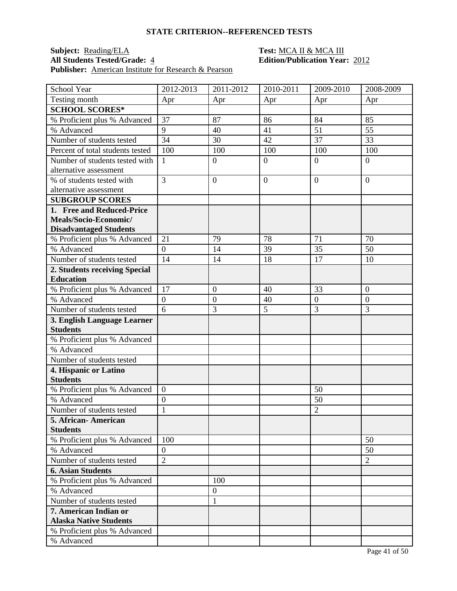### **Subject:** <u>Reading/ELA</u> **Test: MCA II & MCA III**<br> **All Students Tested/Grade:** 4 **Edition/Publication Year** Publisher: **American Institute for Research & Pearson**

| School Year                            | 2012-2013        | 2011-2012        | 2010-2011      | 2009-2010            | 2008-2009        |
|----------------------------------------|------------------|------------------|----------------|----------------------|------------------|
| Testing month                          | Apr              | Apr              | Apr            | Apr                  | Apr              |
| <b>SCHOOL SCORES*</b>                  |                  |                  |                |                      |                  |
| % Proficient plus % Advanced           | 37               | 87               | 86             | 84                   | 85               |
| % Advanced                             | 9                | 40               | 41             | 51                   | 55               |
| Number of students tested              | 34               | 30               | 42             | 37                   | 33               |
| Percent of total students tested       | 100              | 100              | 100            | 100                  | 100              |
| Number of students tested with         | 1                | $\boldsymbol{0}$ | $\overline{0}$ | $\overline{0}$       | $\overline{0}$   |
| alternative assessment                 |                  |                  |                |                      |                  |
| % of students tested with              | 3                | $\overline{0}$   | $\mathbf{0}$   | $\overline{0}$       | $\overline{0}$   |
| alternative assessment                 |                  |                  |                |                      |                  |
| <b>SUBGROUP SCORES</b>                 |                  |                  |                |                      |                  |
| 1. Free and Reduced-Price              |                  |                  |                |                      |                  |
| Meals/Socio-Economic/                  |                  |                  |                |                      |                  |
| <b>Disadvantaged Students</b>          |                  |                  |                |                      |                  |
| % Proficient plus % Advanced           | 21               | 79               | 78             | 71                   | 70               |
| % Advanced                             | $\overline{0}$   | 14               | 39             | 35                   | 50               |
| Number of students tested              | 14               | 14               | 18             | 17                   | 10               |
| 2. Students receiving Special          |                  |                  |                |                      |                  |
| <b>Education</b>                       |                  |                  |                |                      |                  |
| % Proficient plus % Advanced           | 17               | $\overline{0}$   | 40             | 33                   | $\overline{0}$   |
| % Advanced                             | $\boldsymbol{0}$ | $\boldsymbol{0}$ | 40             | $\boldsymbol{0}$     | $\boldsymbol{0}$ |
| Number of students tested              | 6                | 3                | 5              | 3                    | 3                |
| 3. English Language Learner            |                  |                  |                |                      |                  |
| <b>Students</b>                        |                  |                  |                |                      |                  |
| % Proficient plus % Advanced           |                  |                  |                |                      |                  |
| % Advanced                             |                  |                  |                |                      |                  |
| Number of students tested              |                  |                  |                |                      |                  |
| 4. Hispanic or Latino                  |                  |                  |                |                      |                  |
| <b>Students</b>                        |                  |                  |                |                      |                  |
| % Proficient plus % Advanced           | $\boldsymbol{0}$ |                  |                | 50                   |                  |
| % Advanced                             | $\overline{0}$   |                  |                | 50<br>$\overline{2}$ |                  |
| Number of students tested              | $\mathbf{1}$     |                  |                |                      |                  |
| 5. African-American<br><b>Students</b> |                  |                  |                |                      |                  |
| % Proficient plus % Advanced           | 100              |                  |                |                      | 50               |
| % Advanced                             | $\boldsymbol{0}$ |                  |                |                      | 50               |
| Number of students tested              | $\overline{2}$   |                  |                |                      | $\overline{2}$   |
| <b>6. Asian Students</b>               |                  |                  |                |                      |                  |
| % Proficient plus % Advanced           |                  | 100              |                |                      |                  |
| % Advanced                             |                  | $\boldsymbol{0}$ |                |                      |                  |
| Number of students tested              |                  | $\mathbf{1}$     |                |                      |                  |
| 7. American Indian or                  |                  |                  |                |                      |                  |
| <b>Alaska Native Students</b>          |                  |                  |                |                      |                  |
| % Proficient plus % Advanced           |                  |                  |                |                      |                  |
| % Advanced                             |                  |                  |                |                      |                  |
|                                        |                  |                  |                |                      |                  |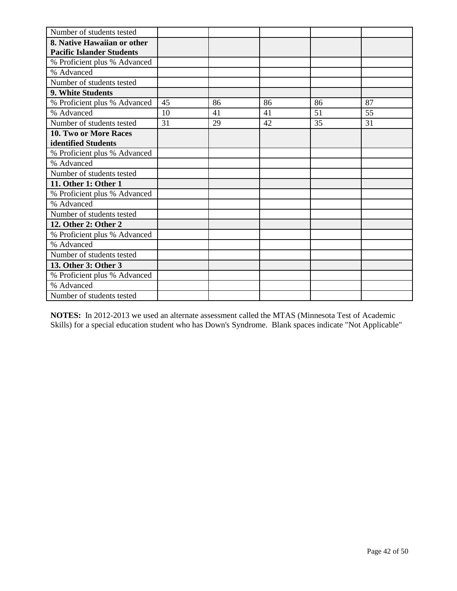| Number of students tested        |    |    |    |    |    |
|----------------------------------|----|----|----|----|----|
| 8. Native Hawaiian or other      |    |    |    |    |    |
| <b>Pacific Islander Students</b> |    |    |    |    |    |
| % Proficient plus % Advanced     |    |    |    |    |    |
| % Advanced                       |    |    |    |    |    |
| Number of students tested        |    |    |    |    |    |
| 9. White Students                |    |    |    |    |    |
| % Proficient plus % Advanced     | 45 | 86 | 86 | 86 | 87 |
| % Advanced                       | 10 | 41 | 41 | 51 | 55 |
| Number of students tested        | 31 | 29 | 42 | 35 | 31 |
| 10. Two or More Races            |    |    |    |    |    |
| identified Students              |    |    |    |    |    |
| % Proficient plus % Advanced     |    |    |    |    |    |
| % Advanced                       |    |    |    |    |    |
| Number of students tested        |    |    |    |    |    |
| 11. Other 1: Other 1             |    |    |    |    |    |
| % Proficient plus % Advanced     |    |    |    |    |    |
| % Advanced                       |    |    |    |    |    |
| Number of students tested        |    |    |    |    |    |
| 12. Other 2: Other 2             |    |    |    |    |    |
| % Proficient plus % Advanced     |    |    |    |    |    |
| % Advanced                       |    |    |    |    |    |
| Number of students tested        |    |    |    |    |    |
| 13. Other 3: Other 3             |    |    |    |    |    |
| % Proficient plus % Advanced     |    |    |    |    |    |
| % Advanced                       |    |    |    |    |    |
| Number of students tested        |    |    |    |    |    |

**NOTES:** In 2012-2013 we used an alternate assessment called the MTAS (Minnesota Test of Academic Skills) for a special education student who has Down's Syndrome. Blank spaces indicate "Not Applicable"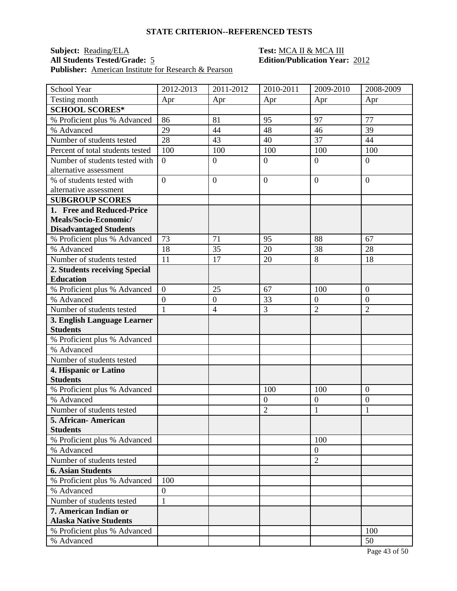## **Subject:** <u>Reading/ELA</u> **Test:** <u>MCA II & MCA III</u><br> **All Students Tested/Grade:** 5 **Edition/Publication Year Publisher:** American Institute for Research & Pearson

| School Year                                    | 2012-2013        | 2011-2012        | 2010-2011      | 2009-2010        | 2008-2009        |
|------------------------------------------------|------------------|------------------|----------------|------------------|------------------|
| Testing month                                  | Apr              | Apr              | Apr            | Apr              | Apr              |
| <b>SCHOOL SCORES*</b>                          |                  |                  |                |                  |                  |
| % Proficient plus % Advanced                   | 86               | 81               | 95             | 97               | 77               |
| % Advanced                                     | 29               | 44               | 48             | 46               | 39               |
| Number of students tested                      | 28               | 43               | 40             | 37               | 44               |
| Percent of total students tested               | 100              | 100              | 100            | 100              | 100              |
| Number of students tested with                 | $\overline{0}$   | $\boldsymbol{0}$ | $\overline{0}$ | $\overline{0}$   | $\overline{0}$   |
| alternative assessment                         |                  |                  |                |                  |                  |
| % of students tested with                      | $\overline{0}$   | $\overline{0}$   | $\mathbf{0}$   | $\overline{0}$   | $\overline{0}$   |
| alternative assessment                         |                  |                  |                |                  |                  |
| <b>SUBGROUP SCORES</b>                         |                  |                  |                |                  |                  |
| 1. Free and Reduced-Price                      |                  |                  |                |                  |                  |
| Meals/Socio-Economic/                          |                  |                  |                |                  |                  |
| <b>Disadvantaged Students</b>                  |                  |                  |                |                  |                  |
| % Proficient plus % Advanced                   | 73               | 71               | 95             | 88               | 67               |
| % Advanced                                     | 18               | 35               | 20             | 38               | 28               |
| Number of students tested                      | 11               | 17               | 20             | 8                | 18               |
| 2. Students receiving Special                  |                  |                  |                |                  |                  |
| <b>Education</b>                               |                  |                  |                |                  |                  |
| % Proficient plus % Advanced                   | $\overline{0}$   | 25               | 67             | 100              | $\overline{0}$   |
| % Advanced                                     | $\boldsymbol{0}$ | $\boldsymbol{0}$ | 33             | $\boldsymbol{0}$ | $\boldsymbol{0}$ |
| Number of students tested                      | $\mathbf{1}$     | $\overline{4}$   | 3              | $\overline{2}$   | $\overline{2}$   |
| 3. English Language Learner<br><b>Students</b> |                  |                  |                |                  |                  |
|                                                |                  |                  |                |                  |                  |
| % Proficient plus % Advanced<br>% Advanced     |                  |                  |                |                  |                  |
|                                                |                  |                  |                |                  |                  |
| Number of students tested                      |                  |                  |                |                  |                  |
| 4. Hispanic or Latino<br><b>Students</b>       |                  |                  |                |                  |                  |
| % Proficient plus % Advanced                   |                  |                  | 100            | 100              | $\overline{0}$   |
| % Advanced                                     |                  |                  | $\overline{0}$ | $\boldsymbol{0}$ | $\mathbf{0}$     |
| Number of students tested                      |                  |                  | $\overline{2}$ | 1                | 1                |
| 5. African-American                            |                  |                  |                |                  |                  |
| <b>Students</b>                                |                  |                  |                |                  |                  |
| % Proficient plus % Advanced                   |                  |                  |                | 100              |                  |
| % Advanced                                     |                  |                  |                | $\theta$         |                  |
| Number of students tested                      |                  |                  |                | $\overline{2}$   |                  |
| <b>6. Asian Students</b>                       |                  |                  |                |                  |                  |
| % Proficient plus % Advanced                   | 100              |                  |                |                  |                  |
| % Advanced                                     | $\boldsymbol{0}$ |                  |                |                  |                  |
| Number of students tested                      | $\mathbf{1}$     |                  |                |                  |                  |
| 7. American Indian or                          |                  |                  |                |                  |                  |
| <b>Alaska Native Students</b>                  |                  |                  |                |                  |                  |
| % Proficient plus % Advanced                   |                  |                  |                |                  | 100              |
| % Advanced                                     |                  |                  |                |                  | 50               |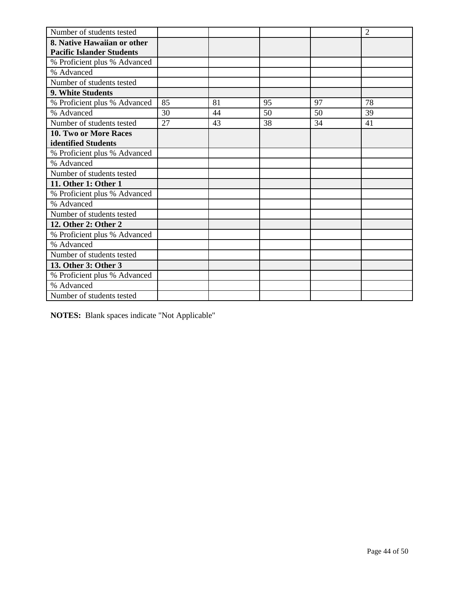| Number of students tested        |    |    |    |    | $\overline{2}$ |
|----------------------------------|----|----|----|----|----------------|
| 8. Native Hawaiian or other      |    |    |    |    |                |
| <b>Pacific Islander Students</b> |    |    |    |    |                |
| % Proficient plus % Advanced     |    |    |    |    |                |
| % Advanced                       |    |    |    |    |                |
| Number of students tested        |    |    |    |    |                |
| <b>9. White Students</b>         |    |    |    |    |                |
| % Proficient plus % Advanced     | 85 | 81 | 95 | 97 | 78             |
| % Advanced                       | 30 | 44 | 50 | 50 | 39             |
| Number of students tested        | 27 | 43 | 38 | 34 | 41             |
| <b>10. Two or More Races</b>     |    |    |    |    |                |
| identified Students              |    |    |    |    |                |
| % Proficient plus % Advanced     |    |    |    |    |                |
| % Advanced                       |    |    |    |    |                |
| Number of students tested        |    |    |    |    |                |
| 11. Other 1: Other 1             |    |    |    |    |                |
| % Proficient plus % Advanced     |    |    |    |    |                |
| % Advanced                       |    |    |    |    |                |
| Number of students tested        |    |    |    |    |                |
| 12. Other 2: Other 2             |    |    |    |    |                |
| % Proficient plus % Advanced     |    |    |    |    |                |
| % Advanced                       |    |    |    |    |                |
| Number of students tested        |    |    |    |    |                |
| 13. Other 3: Other 3             |    |    |    |    |                |
| % Proficient plus % Advanced     |    |    |    |    |                |
| % Advanced                       |    |    |    |    |                |
| Number of students tested        |    |    |    |    |                |

**NOTES:** Blank spaces indicate "Not Applicable"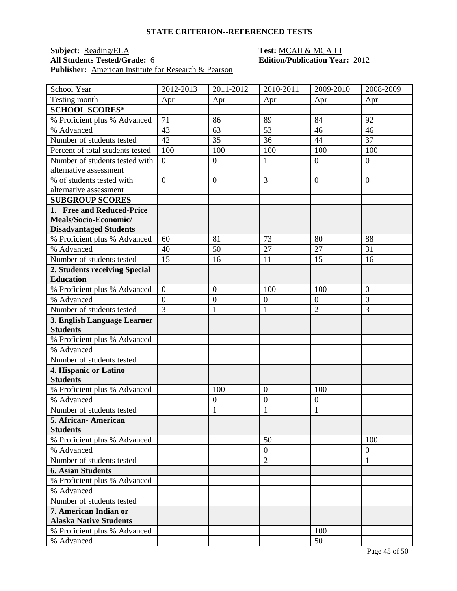## **Subject:** <u>Reading/ELA</u> **Test: MCAII & MCAIII**<br> **All Students Tested/Grade:** 6 **CONFINITY Edition/Publication Yea Publisher:** <u>American Institute for Research & Pearson</u>

| School Year                      | 2012-2013        | 2011-2012        | 2010-2011        | 2009-2010        | 2008-2009        |
|----------------------------------|------------------|------------------|------------------|------------------|------------------|
| Testing month                    | Apr              | Apr              | Apr              | Apr              | Apr              |
| <b>SCHOOL SCORES*</b>            |                  |                  |                  |                  |                  |
| % Proficient plus % Advanced     | 71               | 86               | 89               | 84               | 92               |
| % Advanced                       | 43               | 63               | 53               | 46               | 46               |
| Number of students tested        | 42               | 35               | 36               | 44               | 37               |
| Percent of total students tested | 100              | 100              | 100              | 100              | 100              |
| Number of students tested with   | $\overline{0}$   | $\boldsymbol{0}$ | $\mathbf{1}$     | $\overline{0}$   | $\overline{0}$   |
| alternative assessment           |                  |                  |                  |                  |                  |
| % of students tested with        | $\overline{0}$   | $\overline{0}$   | $\overline{3}$   | $\overline{0}$   | $\overline{0}$   |
| alternative assessment           |                  |                  |                  |                  |                  |
| <b>SUBGROUP SCORES</b>           |                  |                  |                  |                  |                  |
| 1. Free and Reduced-Price        |                  |                  |                  |                  |                  |
| Meals/Socio-Economic/            |                  |                  |                  |                  |                  |
| <b>Disadvantaged Students</b>    |                  |                  |                  |                  |                  |
| % Proficient plus % Advanced     | 60               | 81               | 73               | 80               | 88               |
| % Advanced                       | 40               | 50               | 27               | 27               | 31               |
| Number of students tested        | 15               | 16               | 11               | 15               | 16               |
| 2. Students receiving Special    |                  |                  |                  |                  |                  |
| <b>Education</b>                 |                  |                  |                  |                  |                  |
| % Proficient plus % Advanced     | $\overline{0}$   | $\overline{0}$   | 100              | 100              | $\overline{0}$   |
| % Advanced                       | $\boldsymbol{0}$ | $\boldsymbol{0}$ | $\boldsymbol{0}$ | $\boldsymbol{0}$ | $\boldsymbol{0}$ |
| Number of students tested        | $\overline{3}$   | $\mathbf{1}$     | $\mathbf{1}$     | $\overline{2}$   | 3                |
| 3. English Language Learner      |                  |                  |                  |                  |                  |
| <b>Students</b>                  |                  |                  |                  |                  |                  |
| % Proficient plus % Advanced     |                  |                  |                  |                  |                  |
| % Advanced                       |                  |                  |                  |                  |                  |
| Number of students tested        |                  |                  |                  |                  |                  |
| 4. Hispanic or Latino            |                  |                  |                  |                  |                  |
| <b>Students</b>                  |                  |                  |                  |                  |                  |
| % Proficient plus % Advanced     |                  | 100              | $\overline{0}$   | 100              |                  |
| % Advanced                       |                  | $\boldsymbol{0}$ | $\overline{0}$   | $\boldsymbol{0}$ |                  |
| Number of students tested        |                  | 1                | $\mathbf{1}$     | 1                |                  |
| 5. African-American              |                  |                  |                  |                  |                  |
| <b>Students</b>                  |                  |                  |                  |                  |                  |
| % Proficient plus % Advanced     |                  |                  | 50               |                  | 100              |
| % Advanced                       |                  |                  | $\mathbf{0}$     |                  | $\boldsymbol{0}$ |
| Number of students tested        |                  |                  | $\overline{2}$   |                  | $\mathbf{1}$     |
| <b>6. Asian Students</b>         |                  |                  |                  |                  |                  |
| % Proficient plus % Advanced     |                  |                  |                  |                  |                  |
| % Advanced                       |                  |                  |                  |                  |                  |
| Number of students tested        |                  |                  |                  |                  |                  |
| 7. American Indian or            |                  |                  |                  |                  |                  |
| <b>Alaska Native Students</b>    |                  |                  |                  |                  |                  |
| % Proficient plus % Advanced     |                  |                  |                  | 100              |                  |
| % Advanced                       |                  |                  |                  | 50               |                  |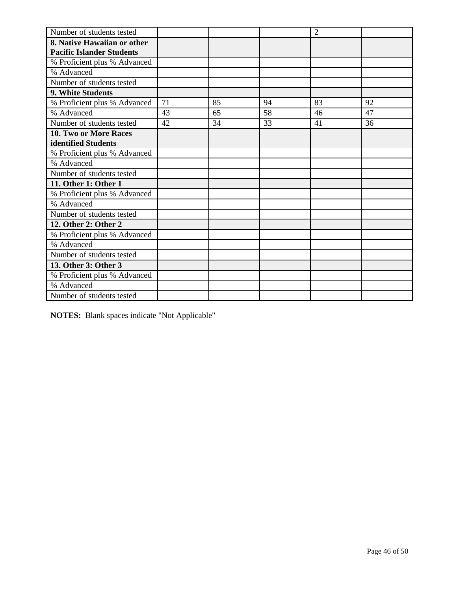| Number of students tested        |    |    |    | $\overline{2}$ |    |
|----------------------------------|----|----|----|----------------|----|
| 8. Native Hawaiian or other      |    |    |    |                |    |
| <b>Pacific Islander Students</b> |    |    |    |                |    |
| % Proficient plus % Advanced     |    |    |    |                |    |
| % Advanced                       |    |    |    |                |    |
| Number of students tested        |    |    |    |                |    |
| 9. White Students                |    |    |    |                |    |
| % Proficient plus % Advanced     | 71 | 85 | 94 | 83             | 92 |
| % Advanced                       | 43 | 65 | 58 | 46             | 47 |
| Number of students tested        | 42 | 34 | 33 | 41             | 36 |
| <b>10. Two or More Races</b>     |    |    |    |                |    |
| identified Students              |    |    |    |                |    |
| % Proficient plus % Advanced     |    |    |    |                |    |
| % Advanced                       |    |    |    |                |    |
| Number of students tested        |    |    |    |                |    |
| 11. Other 1: Other 1             |    |    |    |                |    |
| % Proficient plus % Advanced     |    |    |    |                |    |
| % Advanced                       |    |    |    |                |    |
| Number of students tested        |    |    |    |                |    |
| 12. Other 2: Other 2             |    |    |    |                |    |
| % Proficient plus % Advanced     |    |    |    |                |    |
| % Advanced                       |    |    |    |                |    |
| Number of students tested        |    |    |    |                |    |
| 13. Other 3: Other 3             |    |    |    |                |    |
| % Proficient plus % Advanced     |    |    |    |                |    |
| % Advanced                       |    |    |    |                |    |
| Number of students tested        |    |    |    |                |    |

**NOTES:** Blank spaces indicate "Not Applicable"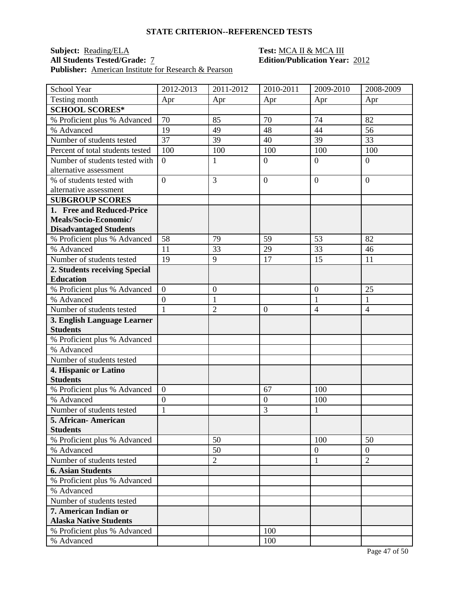### **Subject:** <u>Reading/ELA</u> **Test: MCA II & MCA III**<br> **All Students Tested/Grade:** 7 **Test: Edition/Publication Year** Publisher: **American Institute for Research & Pearson**

| Testing month<br>Apr<br>Apr<br>Apr<br>Apr<br>Apr<br><b>SCHOOL SCORES*</b><br>% Proficient plus % Advanced<br>70<br>85<br>70<br>74<br>82<br>% Advanced<br>56<br>19<br>48<br>44<br>49<br>37<br>39<br>Number of students tested<br>39<br>40<br>33<br>Percent of total students tested<br>100<br>100<br>100<br>100<br>100<br>Number of students tested with<br>$\overline{0}$<br>$\overline{0}$<br>$\overline{0}$<br>1<br>$\overline{0}$<br>alternative assessment<br>$\overline{0}$<br>3<br>% of students tested with<br>$\mathbf{0}$<br>$\overline{0}$<br>$\overline{0}$<br>alternative assessment<br><b>SUBGROUP SCORES</b><br>1. Free and Reduced-Price<br>Meals/Socio-Economic/<br><b>Disadvantaged Students</b><br>% Proficient plus % Advanced<br>58<br>79<br>59<br>53<br>82<br>29<br>% Advanced<br>33<br>33<br>46<br>11<br>Number of students tested<br>19<br>9<br>17<br>15<br>11<br>2. Students receiving Special<br><b>Education</b><br>$\overline{0}$<br>$\overline{0}$<br>25<br>% Proficient plus % Advanced<br>$\boldsymbol{0}$<br>% Advanced<br>$\boldsymbol{0}$<br>$\mathbf{1}$<br>1<br>1<br>Number of students tested<br>$\mathbf{1}$<br>$\overline{2}$<br>$\overline{4}$<br>$\mathbf{0}$<br>$\overline{4}$<br>3. English Language Learner<br><b>Students</b><br>% Proficient plus % Advanced<br>% Advanced<br>Number of students tested<br>4. Hispanic or Latino<br><b>Students</b><br>100<br>% Proficient plus % Advanced<br>$\boldsymbol{0}$<br>67<br>% Advanced<br>$\overline{0}$<br>$\mathbf{0}$<br>100<br>$\mathbf{1}$<br>3<br>$\mathbf{1}$<br>Number of students tested<br>5. African- American<br><b>Students</b><br>% Proficient plus % Advanced<br>50<br>100<br>50<br>% Advanced<br>50<br>$\overline{0}$<br>$\overline{0}$<br>$\overline{2}$<br>$\overline{2}$<br>Number of students tested<br>$\mathbf{1}$<br><b>6. Asian Students</b><br>% Proficient plus % Advanced<br>% Advanced<br>Number of students tested<br>7. American Indian or<br><b>Alaska Native Students</b><br>100<br>% Proficient plus % Advanced<br>% Advanced<br>100 | School Year | 2012-2013 | 2011-2012 | 2010-2011 | 2009-2010 | 2008-2009 |
|----------------------------------------------------------------------------------------------------------------------------------------------------------------------------------------------------------------------------------------------------------------------------------------------------------------------------------------------------------------------------------------------------------------------------------------------------------------------------------------------------------------------------------------------------------------------------------------------------------------------------------------------------------------------------------------------------------------------------------------------------------------------------------------------------------------------------------------------------------------------------------------------------------------------------------------------------------------------------------------------------------------------------------------------------------------------------------------------------------------------------------------------------------------------------------------------------------------------------------------------------------------------------------------------------------------------------------------------------------------------------------------------------------------------------------------------------------------------------------------------------------------------------------------------------------------------------------------------------------------------------------------------------------------------------------------------------------------------------------------------------------------------------------------------------------------------------------------------------------------------------------------------------------------------------------------------------------------------------------------------------------------------------------------------------------------|-------------|-----------|-----------|-----------|-----------|-----------|
|                                                                                                                                                                                                                                                                                                                                                                                                                                                                                                                                                                                                                                                                                                                                                                                                                                                                                                                                                                                                                                                                                                                                                                                                                                                                                                                                                                                                                                                                                                                                                                                                                                                                                                                                                                                                                                                                                                                                                                                                                                                                |             |           |           |           |           |           |
|                                                                                                                                                                                                                                                                                                                                                                                                                                                                                                                                                                                                                                                                                                                                                                                                                                                                                                                                                                                                                                                                                                                                                                                                                                                                                                                                                                                                                                                                                                                                                                                                                                                                                                                                                                                                                                                                                                                                                                                                                                                                |             |           |           |           |           |           |
|                                                                                                                                                                                                                                                                                                                                                                                                                                                                                                                                                                                                                                                                                                                                                                                                                                                                                                                                                                                                                                                                                                                                                                                                                                                                                                                                                                                                                                                                                                                                                                                                                                                                                                                                                                                                                                                                                                                                                                                                                                                                |             |           |           |           |           |           |
|                                                                                                                                                                                                                                                                                                                                                                                                                                                                                                                                                                                                                                                                                                                                                                                                                                                                                                                                                                                                                                                                                                                                                                                                                                                                                                                                                                                                                                                                                                                                                                                                                                                                                                                                                                                                                                                                                                                                                                                                                                                                |             |           |           |           |           |           |
|                                                                                                                                                                                                                                                                                                                                                                                                                                                                                                                                                                                                                                                                                                                                                                                                                                                                                                                                                                                                                                                                                                                                                                                                                                                                                                                                                                                                                                                                                                                                                                                                                                                                                                                                                                                                                                                                                                                                                                                                                                                                |             |           |           |           |           |           |
|                                                                                                                                                                                                                                                                                                                                                                                                                                                                                                                                                                                                                                                                                                                                                                                                                                                                                                                                                                                                                                                                                                                                                                                                                                                                                                                                                                                                                                                                                                                                                                                                                                                                                                                                                                                                                                                                                                                                                                                                                                                                |             |           |           |           |           |           |
|                                                                                                                                                                                                                                                                                                                                                                                                                                                                                                                                                                                                                                                                                                                                                                                                                                                                                                                                                                                                                                                                                                                                                                                                                                                                                                                                                                                                                                                                                                                                                                                                                                                                                                                                                                                                                                                                                                                                                                                                                                                                |             |           |           |           |           |           |
|                                                                                                                                                                                                                                                                                                                                                                                                                                                                                                                                                                                                                                                                                                                                                                                                                                                                                                                                                                                                                                                                                                                                                                                                                                                                                                                                                                                                                                                                                                                                                                                                                                                                                                                                                                                                                                                                                                                                                                                                                                                                |             |           |           |           |           |           |
|                                                                                                                                                                                                                                                                                                                                                                                                                                                                                                                                                                                                                                                                                                                                                                                                                                                                                                                                                                                                                                                                                                                                                                                                                                                                                                                                                                                                                                                                                                                                                                                                                                                                                                                                                                                                                                                                                                                                                                                                                                                                |             |           |           |           |           |           |
|                                                                                                                                                                                                                                                                                                                                                                                                                                                                                                                                                                                                                                                                                                                                                                                                                                                                                                                                                                                                                                                                                                                                                                                                                                                                                                                                                                                                                                                                                                                                                                                                                                                                                                                                                                                                                                                                                                                                                                                                                                                                |             |           |           |           |           |           |
|                                                                                                                                                                                                                                                                                                                                                                                                                                                                                                                                                                                                                                                                                                                                                                                                                                                                                                                                                                                                                                                                                                                                                                                                                                                                                                                                                                                                                                                                                                                                                                                                                                                                                                                                                                                                                                                                                                                                                                                                                                                                |             |           |           |           |           |           |
|                                                                                                                                                                                                                                                                                                                                                                                                                                                                                                                                                                                                                                                                                                                                                                                                                                                                                                                                                                                                                                                                                                                                                                                                                                                                                                                                                                                                                                                                                                                                                                                                                                                                                                                                                                                                                                                                                                                                                                                                                                                                |             |           |           |           |           |           |
|                                                                                                                                                                                                                                                                                                                                                                                                                                                                                                                                                                                                                                                                                                                                                                                                                                                                                                                                                                                                                                                                                                                                                                                                                                                                                                                                                                                                                                                                                                                                                                                                                                                                                                                                                                                                                                                                                                                                                                                                                                                                |             |           |           |           |           |           |
|                                                                                                                                                                                                                                                                                                                                                                                                                                                                                                                                                                                                                                                                                                                                                                                                                                                                                                                                                                                                                                                                                                                                                                                                                                                                                                                                                                                                                                                                                                                                                                                                                                                                                                                                                                                                                                                                                                                                                                                                                                                                |             |           |           |           |           |           |
|                                                                                                                                                                                                                                                                                                                                                                                                                                                                                                                                                                                                                                                                                                                                                                                                                                                                                                                                                                                                                                                                                                                                                                                                                                                                                                                                                                                                                                                                                                                                                                                                                                                                                                                                                                                                                                                                                                                                                                                                                                                                |             |           |           |           |           |           |
|                                                                                                                                                                                                                                                                                                                                                                                                                                                                                                                                                                                                                                                                                                                                                                                                                                                                                                                                                                                                                                                                                                                                                                                                                                                                                                                                                                                                                                                                                                                                                                                                                                                                                                                                                                                                                                                                                                                                                                                                                                                                |             |           |           |           |           |           |
|                                                                                                                                                                                                                                                                                                                                                                                                                                                                                                                                                                                                                                                                                                                                                                                                                                                                                                                                                                                                                                                                                                                                                                                                                                                                                                                                                                                                                                                                                                                                                                                                                                                                                                                                                                                                                                                                                                                                                                                                                                                                |             |           |           |           |           |           |
|                                                                                                                                                                                                                                                                                                                                                                                                                                                                                                                                                                                                                                                                                                                                                                                                                                                                                                                                                                                                                                                                                                                                                                                                                                                                                                                                                                                                                                                                                                                                                                                                                                                                                                                                                                                                                                                                                                                                                                                                                                                                |             |           |           |           |           |           |
|                                                                                                                                                                                                                                                                                                                                                                                                                                                                                                                                                                                                                                                                                                                                                                                                                                                                                                                                                                                                                                                                                                                                                                                                                                                                                                                                                                                                                                                                                                                                                                                                                                                                                                                                                                                                                                                                                                                                                                                                                                                                |             |           |           |           |           |           |
|                                                                                                                                                                                                                                                                                                                                                                                                                                                                                                                                                                                                                                                                                                                                                                                                                                                                                                                                                                                                                                                                                                                                                                                                                                                                                                                                                                                                                                                                                                                                                                                                                                                                                                                                                                                                                                                                                                                                                                                                                                                                |             |           |           |           |           |           |
|                                                                                                                                                                                                                                                                                                                                                                                                                                                                                                                                                                                                                                                                                                                                                                                                                                                                                                                                                                                                                                                                                                                                                                                                                                                                                                                                                                                                                                                                                                                                                                                                                                                                                                                                                                                                                                                                                                                                                                                                                                                                |             |           |           |           |           |           |
|                                                                                                                                                                                                                                                                                                                                                                                                                                                                                                                                                                                                                                                                                                                                                                                                                                                                                                                                                                                                                                                                                                                                                                                                                                                                                                                                                                                                                                                                                                                                                                                                                                                                                                                                                                                                                                                                                                                                                                                                                                                                |             |           |           |           |           |           |
|                                                                                                                                                                                                                                                                                                                                                                                                                                                                                                                                                                                                                                                                                                                                                                                                                                                                                                                                                                                                                                                                                                                                                                                                                                                                                                                                                                                                                                                                                                                                                                                                                                                                                                                                                                                                                                                                                                                                                                                                                                                                |             |           |           |           |           |           |
|                                                                                                                                                                                                                                                                                                                                                                                                                                                                                                                                                                                                                                                                                                                                                                                                                                                                                                                                                                                                                                                                                                                                                                                                                                                                                                                                                                                                                                                                                                                                                                                                                                                                                                                                                                                                                                                                                                                                                                                                                                                                |             |           |           |           |           |           |
|                                                                                                                                                                                                                                                                                                                                                                                                                                                                                                                                                                                                                                                                                                                                                                                                                                                                                                                                                                                                                                                                                                                                                                                                                                                                                                                                                                                                                                                                                                                                                                                                                                                                                                                                                                                                                                                                                                                                                                                                                                                                |             |           |           |           |           |           |
|                                                                                                                                                                                                                                                                                                                                                                                                                                                                                                                                                                                                                                                                                                                                                                                                                                                                                                                                                                                                                                                                                                                                                                                                                                                                                                                                                                                                                                                                                                                                                                                                                                                                                                                                                                                                                                                                                                                                                                                                                                                                |             |           |           |           |           |           |
|                                                                                                                                                                                                                                                                                                                                                                                                                                                                                                                                                                                                                                                                                                                                                                                                                                                                                                                                                                                                                                                                                                                                                                                                                                                                                                                                                                                                                                                                                                                                                                                                                                                                                                                                                                                                                                                                                                                                                                                                                                                                |             |           |           |           |           |           |
|                                                                                                                                                                                                                                                                                                                                                                                                                                                                                                                                                                                                                                                                                                                                                                                                                                                                                                                                                                                                                                                                                                                                                                                                                                                                                                                                                                                                                                                                                                                                                                                                                                                                                                                                                                                                                                                                                                                                                                                                                                                                |             |           |           |           |           |           |
|                                                                                                                                                                                                                                                                                                                                                                                                                                                                                                                                                                                                                                                                                                                                                                                                                                                                                                                                                                                                                                                                                                                                                                                                                                                                                                                                                                                                                                                                                                                                                                                                                                                                                                                                                                                                                                                                                                                                                                                                                                                                |             |           |           |           |           |           |
|                                                                                                                                                                                                                                                                                                                                                                                                                                                                                                                                                                                                                                                                                                                                                                                                                                                                                                                                                                                                                                                                                                                                                                                                                                                                                                                                                                                                                                                                                                                                                                                                                                                                                                                                                                                                                                                                                                                                                                                                                                                                |             |           |           |           |           |           |
|                                                                                                                                                                                                                                                                                                                                                                                                                                                                                                                                                                                                                                                                                                                                                                                                                                                                                                                                                                                                                                                                                                                                                                                                                                                                                                                                                                                                                                                                                                                                                                                                                                                                                                                                                                                                                                                                                                                                                                                                                                                                |             |           |           |           |           |           |
|                                                                                                                                                                                                                                                                                                                                                                                                                                                                                                                                                                                                                                                                                                                                                                                                                                                                                                                                                                                                                                                                                                                                                                                                                                                                                                                                                                                                                                                                                                                                                                                                                                                                                                                                                                                                                                                                                                                                                                                                                                                                |             |           |           |           |           |           |
|                                                                                                                                                                                                                                                                                                                                                                                                                                                                                                                                                                                                                                                                                                                                                                                                                                                                                                                                                                                                                                                                                                                                                                                                                                                                                                                                                                                                                                                                                                                                                                                                                                                                                                                                                                                                                                                                                                                                                                                                                                                                |             |           |           |           |           |           |
|                                                                                                                                                                                                                                                                                                                                                                                                                                                                                                                                                                                                                                                                                                                                                                                                                                                                                                                                                                                                                                                                                                                                                                                                                                                                                                                                                                                                                                                                                                                                                                                                                                                                                                                                                                                                                                                                                                                                                                                                                                                                |             |           |           |           |           |           |
|                                                                                                                                                                                                                                                                                                                                                                                                                                                                                                                                                                                                                                                                                                                                                                                                                                                                                                                                                                                                                                                                                                                                                                                                                                                                                                                                                                                                                                                                                                                                                                                                                                                                                                                                                                                                                                                                                                                                                                                                                                                                |             |           |           |           |           |           |
|                                                                                                                                                                                                                                                                                                                                                                                                                                                                                                                                                                                                                                                                                                                                                                                                                                                                                                                                                                                                                                                                                                                                                                                                                                                                                                                                                                                                                                                                                                                                                                                                                                                                                                                                                                                                                                                                                                                                                                                                                                                                |             |           |           |           |           |           |
|                                                                                                                                                                                                                                                                                                                                                                                                                                                                                                                                                                                                                                                                                                                                                                                                                                                                                                                                                                                                                                                                                                                                                                                                                                                                                                                                                                                                                                                                                                                                                                                                                                                                                                                                                                                                                                                                                                                                                                                                                                                                |             |           |           |           |           |           |
|                                                                                                                                                                                                                                                                                                                                                                                                                                                                                                                                                                                                                                                                                                                                                                                                                                                                                                                                                                                                                                                                                                                                                                                                                                                                                                                                                                                                                                                                                                                                                                                                                                                                                                                                                                                                                                                                                                                                                                                                                                                                |             |           |           |           |           |           |
|                                                                                                                                                                                                                                                                                                                                                                                                                                                                                                                                                                                                                                                                                                                                                                                                                                                                                                                                                                                                                                                                                                                                                                                                                                                                                                                                                                                                                                                                                                                                                                                                                                                                                                                                                                                                                                                                                                                                                                                                                                                                |             |           |           |           |           |           |
|                                                                                                                                                                                                                                                                                                                                                                                                                                                                                                                                                                                                                                                                                                                                                                                                                                                                                                                                                                                                                                                                                                                                                                                                                                                                                                                                                                                                                                                                                                                                                                                                                                                                                                                                                                                                                                                                                                                                                                                                                                                                |             |           |           |           |           |           |
|                                                                                                                                                                                                                                                                                                                                                                                                                                                                                                                                                                                                                                                                                                                                                                                                                                                                                                                                                                                                                                                                                                                                                                                                                                                                                                                                                                                                                                                                                                                                                                                                                                                                                                                                                                                                                                                                                                                                                                                                                                                                |             |           |           |           |           |           |
|                                                                                                                                                                                                                                                                                                                                                                                                                                                                                                                                                                                                                                                                                                                                                                                                                                                                                                                                                                                                                                                                                                                                                                                                                                                                                                                                                                                                                                                                                                                                                                                                                                                                                                                                                                                                                                                                                                                                                                                                                                                                |             |           |           |           |           |           |
|                                                                                                                                                                                                                                                                                                                                                                                                                                                                                                                                                                                                                                                                                                                                                                                                                                                                                                                                                                                                                                                                                                                                                                                                                                                                                                                                                                                                                                                                                                                                                                                                                                                                                                                                                                                                                                                                                                                                                                                                                                                                |             |           |           |           |           |           |
|                                                                                                                                                                                                                                                                                                                                                                                                                                                                                                                                                                                                                                                                                                                                                                                                                                                                                                                                                                                                                                                                                                                                                                                                                                                                                                                                                                                                                                                                                                                                                                                                                                                                                                                                                                                                                                                                                                                                                                                                                                                                |             |           |           |           |           |           |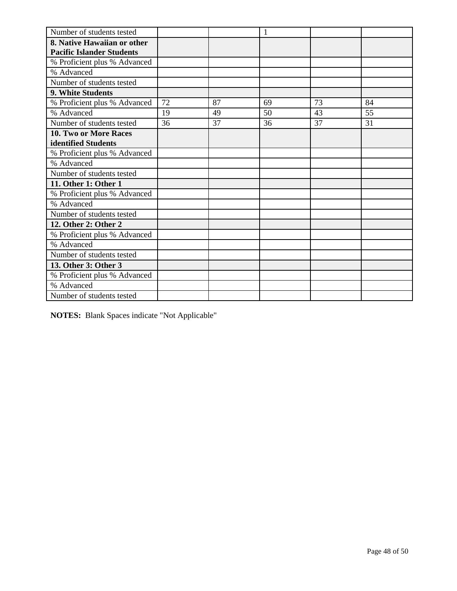| Number of students tested        |    |    | 1  |    |    |
|----------------------------------|----|----|----|----|----|
| 8. Native Hawaiian or other      |    |    |    |    |    |
| <b>Pacific Islander Students</b> |    |    |    |    |    |
| % Proficient plus % Advanced     |    |    |    |    |    |
| % Advanced                       |    |    |    |    |    |
| Number of students tested        |    |    |    |    |    |
| 9. White Students                |    |    |    |    |    |
| % Proficient plus % Advanced     | 72 | 87 | 69 | 73 | 84 |
| % Advanced                       | 19 | 49 | 50 | 43 | 55 |
| Number of students tested        | 36 | 37 | 36 | 37 | 31 |
| 10. Two or More Races            |    |    |    |    |    |
| identified Students              |    |    |    |    |    |
| % Proficient plus % Advanced     |    |    |    |    |    |
| % Advanced                       |    |    |    |    |    |
| Number of students tested        |    |    |    |    |    |
| 11. Other 1: Other 1             |    |    |    |    |    |
| % Proficient plus % Advanced     |    |    |    |    |    |
| % Advanced                       |    |    |    |    |    |
| Number of students tested        |    |    |    |    |    |
| 12. Other 2: Other 2             |    |    |    |    |    |
| % Proficient plus % Advanced     |    |    |    |    |    |
| % Advanced                       |    |    |    |    |    |
| Number of students tested        |    |    |    |    |    |
| 13. Other 3: Other 3             |    |    |    |    |    |
| % Proficient plus % Advanced     |    |    |    |    |    |
| % Advanced                       |    |    |    |    |    |
| Number of students tested        |    |    |    |    |    |

**NOTES:** Blank Spaces indicate "Not Applicable"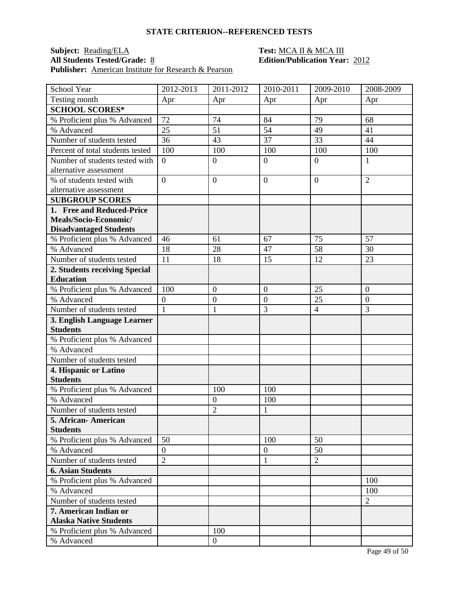### **Subject:** <u>Reading/ELA</u> **Test:** <u>MCA II & MCA III</u><br> **All Students Tested/Grade:** <u>8</u> **Test: Edition/Publication Year Publisher:** American Institute for Research & Pearson

| School Year                              | 2012-2013        | 2011-2012        | 2010-2011        | 2009-2010      | 2008-2009      |
|------------------------------------------|------------------|------------------|------------------|----------------|----------------|
| Testing month                            | Apr              | Apr              | Apr              | Apr            | Apr            |
| <b>SCHOOL SCORES*</b>                    |                  |                  |                  |                |                |
| % Proficient plus % Advanced             | 72               | 74               | 84               | 79             | 68             |
| % Advanced                               | 25               | 51               | 54               | 49             | 41             |
| Number of students tested                | 36               | 43               | 37               | 33             | 44             |
| Percent of total students tested         | 100              | 100              | 100              | 100            | 100            |
| Number of students tested with           | $\overline{0}$   | $\overline{0}$   | $\overline{0}$   | $\overline{0}$ | 1              |
| alternative assessment                   |                  |                  |                  |                |                |
| % of students tested with                | $\overline{0}$   | $\boldsymbol{0}$ | $\mathbf{0}$     | $\overline{0}$ | $\overline{2}$ |
| alternative assessment                   |                  |                  |                  |                |                |
| <b>SUBGROUP SCORES</b>                   |                  |                  |                  |                |                |
| 1. Free and Reduced-Price                |                  |                  |                  |                |                |
| Meals/Socio-Economic/                    |                  |                  |                  |                |                |
| <b>Disadvantaged Students</b>            |                  |                  |                  |                |                |
| % Proficient plus % Advanced             | 46               | 61               | 67               | 75             | 57             |
| % Advanced                               | 18               | 28               | 47               | 58             | 30             |
| Number of students tested                | 11               | 18               | 15               | 12             | 23             |
| 2. Students receiving Special            |                  |                  |                  |                |                |
| <b>Education</b>                         |                  |                  |                  |                |                |
| % Proficient plus % Advanced             | 100              | $\overline{0}$   | $\boldsymbol{0}$ | 25             | $\overline{0}$ |
| % Advanced                               | $\boldsymbol{0}$ | $\boldsymbol{0}$ | $\overline{0}$   | 25             | $\mathbf{0}$   |
| Number of students tested                | $\mathbf{1}$     | 1                | 3                | $\overline{4}$ | 3              |
| 3. English Language Learner              |                  |                  |                  |                |                |
| <b>Students</b>                          |                  |                  |                  |                |                |
| % Proficient plus % Advanced             |                  |                  |                  |                |                |
| % Advanced                               |                  |                  |                  |                |                |
| Number of students tested                |                  |                  |                  |                |                |
| 4. Hispanic or Latino<br><b>Students</b> |                  |                  |                  |                |                |
| % Proficient plus % Advanced             |                  | 100              | 100              |                |                |
| % Advanced                               |                  | $\boldsymbol{0}$ | 100              |                |                |
| Number of students tested                |                  | $\overline{2}$   | $\mathbf{1}$     |                |                |
| 5. African- American                     |                  |                  |                  |                |                |
| <b>Students</b>                          |                  |                  |                  |                |                |
| % Proficient plus % Advanced             | 50               |                  | 100              | 50             |                |
| % Advanced                               | $\overline{0}$   |                  | $\mathbf{0}$     | 50             |                |
| Number of students tested                | $\overline{2}$   |                  | $\mathbf{1}$     | $\overline{2}$ |                |
| <b>6. Asian Students</b>                 |                  |                  |                  |                |                |
| % Proficient plus % Advanced             |                  |                  |                  |                | 100            |
| % Advanced                               |                  |                  |                  |                | 100            |
| Number of students tested                |                  |                  |                  |                | $\overline{2}$ |
| 7. American Indian or                    |                  |                  |                  |                |                |
| <b>Alaska Native Students</b>            |                  |                  |                  |                |                |
| % Proficient plus % Advanced             |                  | 100              |                  |                |                |
| % Advanced                               |                  | $\boldsymbol{0}$ |                  |                |                |
|                                          |                  |                  |                  |                |                |